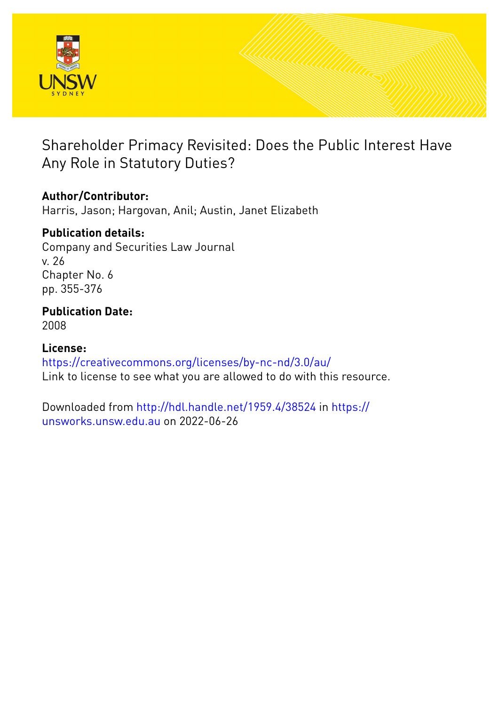

# Shareholder Primacy Revisited: Does the Public Interest Have Any Role in Statutory Duties?

# **Author/Contributor:**

Harris, Jason; Hargovan, Anil; Austin, Janet Elizabeth

# **Publication details:**

Company and Securities Law Journal v. 26 Chapter No. 6 pp. 355-376

# **Publication Date:** 2008

**License:** <https://creativecommons.org/licenses/by-nc-nd/3.0/au/> Link to license to see what you are allowed to do with this resource.

Downloaded from <http://hdl.handle.net/1959.4/38524> in [https://](https://unsworks.unsw.edu.au) [unsworks.unsw.edu.au](https://unsworks.unsw.edu.au) on 2022-06-26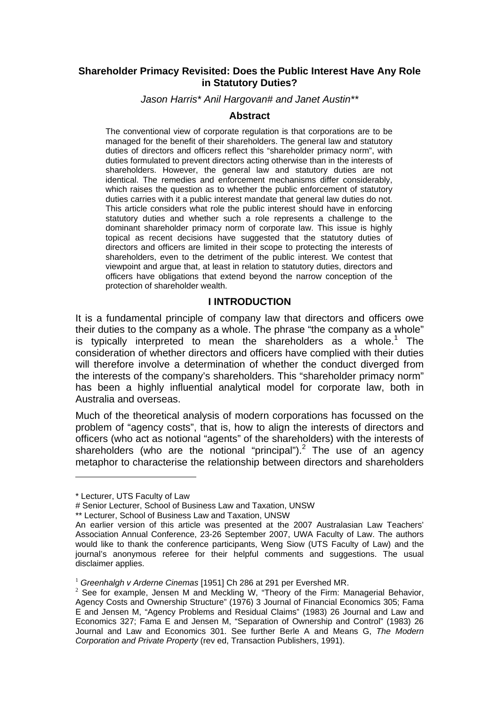#### **Shareholder Primacy Revisited: Does the Public Interest Have Any Role in Statutory Duties?**

*Jason Harris\* Anil Hargovan# and Janet Austin\*\** 

#### **Abstract**

The conventional view of corporate regulation is that corporations are to be managed for the benefit of their shareholders. The general law and statutory duties of directors and officers reflect this "shareholder primacy norm", with duties formulated to prevent directors acting otherwise than in the interests of shareholders. However, the general law and statutory duties are not identical. The remedies and enforcement mechanisms differ considerably, which raises the question as to whether the public enforcement of statutory duties carries with it a public interest mandate that general law duties do not. This article considers what role the public interest should have in enforcing statutory duties and whether such a role represents a challenge to the dominant shareholder primacy norm of corporate law. This issue is highly topical as recent decisions have suggested that the statutory duties of directors and officers are limited in their scope to protecting the interests of shareholders, even to the detriment of the public interest. We contest that viewpoint and argue that, at least in relation to statutory duties, directors and officers have obligations that extend beyond the narrow conception of the protection of shareholder wealth.

#### **I INTRODUCTION**

It is a fundamental principle of company law that directors and officers owe their duties to the company as a whole. The phrase "the company as a whole" is typically interpreted to mean the shareholders as a whole.<sup>1</sup> The consideration of whether directors and officers have complied with their duties will therefore involve a determination of whether the conduct diverged from the interests of the company's shareholders. This "shareholder primacy norm" has been a highly influential analytical model for corporate law, both in Australia and overseas.

Much of the theoretical analysis of modern corporations has focussed on the problem of "agency costs", that is, how to align the interests of directors and officers (who act as notional "agents" of the shareholders) with the interests of shareholders (who are the notional "principal"). $^2$  The use of an agency metaphor to characterise the relationship between directors and shareholders

<sup>\*</sup> Lecturer, UTS Faculty of Law

<sup>#</sup> Senior Lecturer, School of Business Law and Taxation, UNSW

<sup>\*\*</sup> Lecturer, School of Business Law and Taxation, UNSW

An earlier version of this article was presented at the 2007 Australasian Law Teachers' Association Annual Conference, 23-26 September 2007, UWA Faculty of Law. The authors would like to thank the conference participants, Weng Siow (UTS Faculty of Law) and the journal's anonymous referee for their helpful comments and suggestions. The usual disclaimer applies.

<sup>&</sup>lt;sup>1</sup> Greenhalgh v Arderne Cinemas [1951] Ch 286 at 291 per Evershed MR.

 $2$  See for example, Jensen M and Meckling W, "Theory of the Firm: Managerial Behavior, Agency Costs and Ownership Structure" (1976) 3 Journal of Financial Economics 305; Fama E and Jensen M, "Agency Problems and Residual Claims" (1983) 26 Journal and Law and Economics 327; Fama E and Jensen M, "Separation of Ownership and Control" (1983) 26 Journal and Law and Economics 301. See further Berle A and Means G, *The Modern Corporation and Private Property* (rev ed, Transaction Publishers, 1991).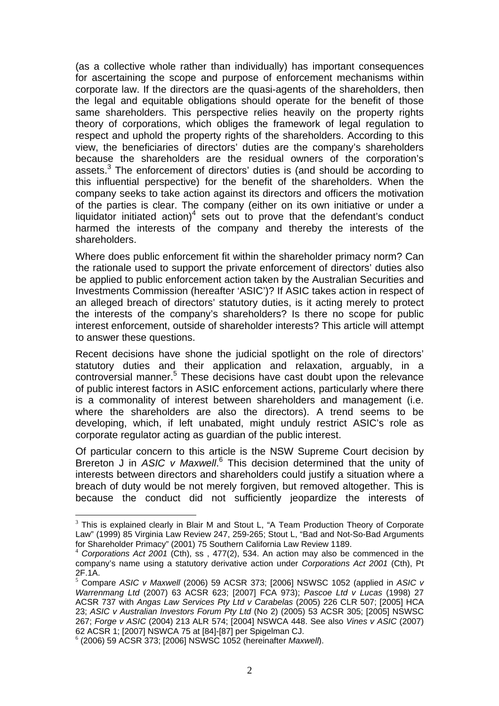(as a collective whole rather than individually) has important consequences for ascertaining the scope and purpose of enforcement mechanisms within corporate law. If the directors are the quasi-agents of the shareholders, then the legal and equitable obligations should operate for the benefit of those same shareholders. This perspective relies heavily on the property rights theory of corporations, which obliges the framework of legal regulation to respect and uphold the property rights of the shareholders. According to this view, the beneficiaries of directors' duties are the company's shareholders because the shareholders are the residual owners of the corporation's assets.<sup>3</sup> The enforcement of directors' duties is (and should be according to this influential perspective) for the benefit of the shareholders. When the company seeks to take action against its directors and officers the motivation of the parties is clear. The company (either on its own initiative or under a liquidator initiated action)<sup>4</sup> sets out to prove that the defendant's conduct harmed the interests of the company and thereby the interests of the shareholders.

Where does public enforcement fit within the shareholder primacy norm? Can the rationale used to support the private enforcement of directors' duties also be applied to public enforcement action taken by the Australian Securities and Investments Commission (hereafter 'ASIC')? If ASIC takes action in respect of an alleged breach of directors' statutory duties, is it acting merely to protect the interests of the company's shareholders? Is there no scope for public interest enforcement, outside of shareholder interests? This article will attempt to answer these questions.

Recent decisions have shone the judicial spotlight on the role of directors' statutory duties and their application and relaxation, arguably, in a controversial manner.<sup>5</sup> These decisions have cast doubt upon the relevance of public interest factors in ASIC enforcement actions, particularly where there is a commonality of interest between shareholders and management (i.e. where the shareholders are also the directors). A trend seems to be developing, which, if left unabated, might unduly restrict ASIC's role as corporate regulator acting as guardian of the public interest.

Of particular concern to this article is the NSW Supreme Court decision by Brereton J in ASIC v Maxwell.<sup>6</sup> This decision determined that the unity of interests between directors and shareholders could justify a situation where a breach of duty would be not merely forgiven, but removed altogether. This is because the conduct did not sufficiently jeopardize the interests of

 $3$  This is explained clearly in Blair M and Stout L, "A Team Production Theory of Corporate Law" (1999) 85 Virginia Law Review 247, 259-265; Stout L, "Bad and Not-So-Bad Arguments for Shareholder Primacy" (2001) 75 Southern California Law Review 1189.

<sup>4</sup> *Corporations Act 2001* (Cth), ss , 477(2), 534. An action may also be commenced in the company's name using a statutory derivative action under *Corporations Act 2001* (Cth), Pt 2F.1A.

<sup>5</sup> Compare *ASIC v Maxwell* (2006) 59 ACSR 373; [2006] NSWSC 1052 (applied in *ASIC v Warrenmang Ltd* (2007) 63 ACSR 623; [2007] FCA 973); *Pascoe Ltd v Lucas* (1998) 27 ACSR 737 with *Angas Law Services Pty Ltd v Carabelas* (2005) 226 CLR 507; [2005] HCA 23; *ASIC v Australian Investors Forum Pty Ltd* (No 2) (2005) 53 ACSR 305; [2005] NSWSC 267; *Forge v ASIC* (2004) 213 ALR 574; [2004] NSWCA 448. See also *Vines v ASIC* (2007) 62 ACSR 1; [2007] NSWCA 75 at [84]-[87] per Spigelman CJ.

<sup>6</sup> (2006) 59 ACSR 373; [2006] NSWSC 1052 (hereinafter *Maxwell*).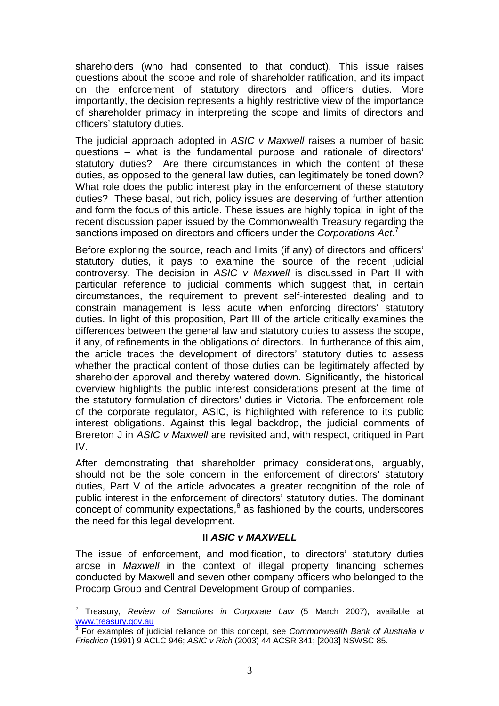shareholders (who had consented to that conduct). This issue raises questions about the scope and role of shareholder ratification, and its impact on the enforcement of statutory directors and officers duties. More importantly, the decision represents a highly restrictive view of the importance of shareholder primacy in interpreting the scope and limits of directors and officers' statutory duties.

The judicial approach adopted in *ASIC v Maxwell* raises a number of basic questions – what is the fundamental purpose and rationale of directors' statutory duties? Are there circumstances in which the content of these duties, as opposed to the general law duties, can legitimately be toned down? What role does the public interest play in the enforcement of these statutory duties? These basal, but rich, policy issues are deserving of further attention and form the focus of this article. These issues are highly topical in light of the recent discussion paper issued by the Commonwealth Treasury regarding the sanctions imposed on directors and officers under the *Corporations Act*. 7

Before exploring the source, reach and limits (if any) of directors and officers' statutory duties, it pays to examine the source of the recent judicial controversy. The decision in *ASIC v Maxwell* is discussed in Part II with particular reference to judicial comments which suggest that, in certain circumstances, the requirement to prevent self-interested dealing and to constrain management is less acute when enforcing directors' statutory duties. In light of this proposition, Part III of the article critically examines the differences between the general law and statutory duties to assess the scope, if any, of refinements in the obligations of directors. In furtherance of this aim, the article traces the development of directors' statutory duties to assess whether the practical content of those duties can be legitimately affected by shareholder approval and thereby watered down. Significantly, the historical overview highlights the public interest considerations present at the time of the statutory formulation of directors' duties in Victoria. The enforcement role of the corporate regulator, ASIC, is highlighted with reference to its public interest obligations. Against this legal backdrop, the judicial comments of Brereton J in *ASIC v Maxwell* are revisited and, with respect, critiqued in Part IV.

After demonstrating that shareholder primacy considerations, arguably, should not be the sole concern in the enforcement of directors' statutory duties, Part V of the article advocates a greater recognition of the role of public interest in the enforcement of directors' statutory duties. The dominant concept of community expectations, $^8$  as fashioned by the courts, underscores the need for this legal development.

#### **II** *ASIC v MAXWELL*

The issue of enforcement, and modification, to directors' statutory duties arose in *Maxwell* in the context of illegal property financing schemes conducted by Maxwell and seven other company officers who belonged to the Procorp Group and Central Development Group of companies.

<sup>7</sup> Treasury, *Review of Sanctions in Corporate Law* (5 March 2007), available at www.treasury.gov.au<br><sup>8</sup> For examples of judicial reliance on this concept, see *Commonwealth Bank of Australia v* 

*Friedrich* (1991) 9 ACLC 946; *ASIC v Rich* (2003) 44 ACSR 341; [2003] NSWSC 85.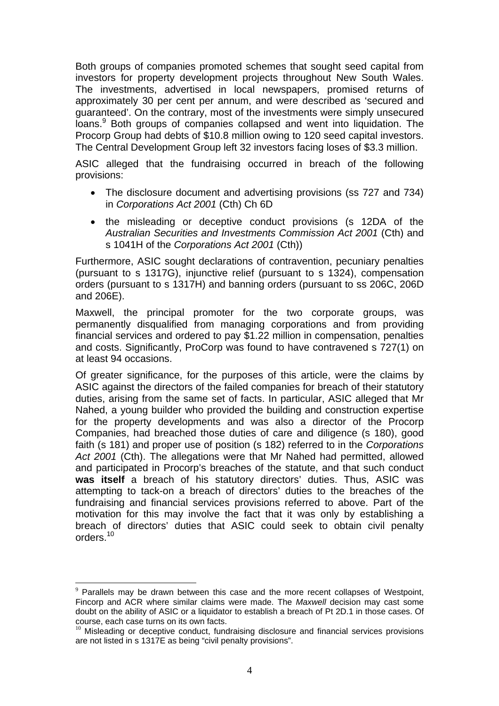Both groups of companies promoted schemes that sought seed capital from investors for property development projects throughout New South Wales. The investments, advertised in local newspapers, promised returns of approximately 30 per cent per annum, and were described as 'secured and guaranteed'. On the contrary, most of the investments were simply unsecured loans.<sup>9</sup> Both groups of companies collapsed and went into liquidation. The Procorp Group had debts of \$10.8 million owing to 120 seed capital investors. The Central Development Group left 32 investors facing loses of \$3.3 million.

ASIC alleged that the fundraising occurred in breach of the following provisions:

- The disclosure document and advertising provisions (ss 727 and 734) in *Corporations Act 2001* (Cth) Ch 6D
- the misleading or deceptive conduct provisions (s 12DA of the *Australian Securities and Investments Commission Act 2001* (Cth) and s 1041H of the *Corporations Act 2001* (Cth))

Furthermore, ASIC sought declarations of contravention, pecuniary penalties (pursuant to s 1317G), injunctive relief (pursuant to s 1324), compensation orders (pursuant to s 1317H) and banning orders (pursuant to ss 206C, 206D and 206E).

Maxwell, the principal promoter for the two corporate groups, was permanently disqualified from managing corporations and from providing financial services and ordered to pay \$1.22 million in compensation, penalties and costs. Significantly, ProCorp was found to have contravened s 727(1) on at least 94 occasions.

Of greater significance, for the purposes of this article, were the claims by ASIC against the directors of the failed companies for breach of their statutory duties, arising from the same set of facts. In particular, ASIC alleged that Mr Nahed, a young builder who provided the building and construction expertise for the property developments and was also a director of the Procorp Companies, had breached those duties of care and diligence (s 180), good faith (s 181) and proper use of position (s 182) referred to in the *Corporations Act 2001* (Cth). The allegations were that Mr Nahed had permitted, allowed and participated in Procorp's breaches of the statute, and that such conduct **was itself** a breach of his statutory directors' duties. Thus, ASIC was attempting to tack-on a breach of directors' duties to the breaches of the fundraising and financial services provisions referred to above. Part of the motivation for this may involve the fact that it was only by establishing a breach of directors' duties that ASIC could seek to obtain civil penalty orders.10

 $9$  Parallels may be drawn between this case and the more recent collapses of Westpoint, Fincorp and ACR where similar claims were made. The *Maxwell* decision may cast some doubt on the ability of ASIC or a liquidator to establish a breach of Pt 2D.1 in those cases. Of course, each case turns on its own facts.

<sup>&</sup>lt;sup>10</sup> Misleading or deceptive conduct, fundraising disclosure and financial services provisions are not listed in s 1317E as being "civil penalty provisions".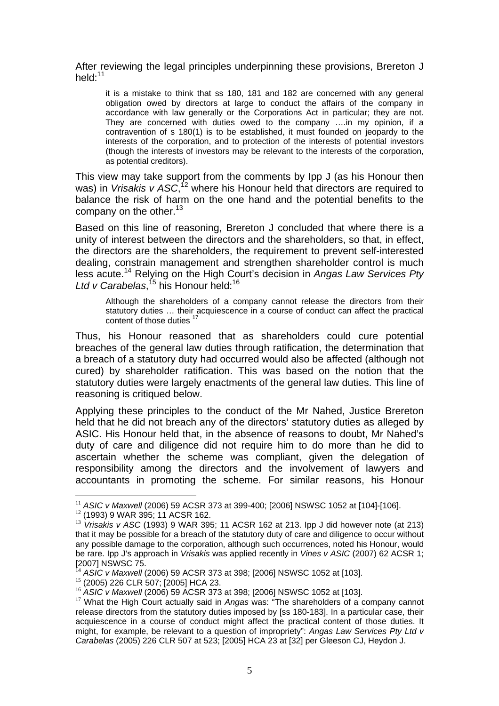After reviewing the legal principles underpinning these provisions, Brereton J held:<sup>11</sup>

it is a mistake to think that ss 180, 181 and 182 are concerned with any general obligation owed by directors at large to conduct the affairs of the company in accordance with law generally or the Corporations Act in particular; they are not. They are concerned with duties owed to the company ….in my opinion, if a contravention of s 180(1) is to be established, it must founded on jeopardy to the interests of the corporation, and to protection of the interests of potential investors (though the interests of investors may be relevant to the interests of the corporation, as potential creditors).

This view may take support from the comments by Ipp J (as his Honour then was) in *Vrisakis v ASC*,<sup>12</sup> where his Honour held that directors are required to balance the risk of harm on the one hand and the potential benefits to the company on the other. $13$ 

Based on this line of reasoning, Brereton J concluded that where there is a unity of interest between the directors and the shareholders, so that, in effect, the directors are the shareholders, the requirement to prevent self-interested dealing, constrain management and strengthen shareholder control is much less acute.14 Relying on the High Court's decision in *Angas Law Services Pty Ltd v Carabelas*, 15 his Honour held:16

Although the shareholders of a company cannot release the directors from their statutory duties … their acquiescence in a course of conduct can affect the practical content of those duties<sup>17</sup>

Thus, his Honour reasoned that as shareholders could cure potential breaches of the general law duties through ratification, the determination that a breach of a statutory duty had occurred would also be affected (although not cured) by shareholder ratification. This was based on the notion that the statutory duties were largely enactments of the general law duties. This line of reasoning is critiqued below.

Applying these principles to the conduct of the Mr Nahed, Justice Brereton held that he did not breach any of the directors' statutory duties as alleged by ASIC. His Honour held that, in the absence of reasons to doubt, Mr Nahed's duty of care and diligence did not require him to do more than he did to ascertain whether the scheme was compliant, given the delegation of responsibility among the directors and the involvement of lawyers and accountants in promoting the scheme. For similar reasons, his Honour

<sup>&</sup>lt;sup>11</sup> *ASIC v Maxwell* (2006) 59 ACSR 373 at 399-400; [2006] NSWSC 1052 at [104]-[106].<br><sup>12</sup> (1993) 9 WAR 395; 11 ACSR 162.

<sup>13</sup> *Vrisakis v ASC* (1993) 9 WAR 395; 11 ACSR 162 at 213. Ipp J did however note (at 213) that it may be possible for a breach of the statutory duty of care and diligence to occur without any possible damage to the corporation, although such occurrences, noted his Honour, would be rare. Ipp J's approach in *Vrisakis* was applied recently in *Vines v ASIC* (2007) 62 ACSR 1; [2007] NSWSC 75.

<sup>&</sup>lt;sup>14</sup> ASIC *v Maxwell* (2006) 59 ACSR 373 at 398; [2006] NSWSC 1052 at [103].<br><sup>15</sup> (2005) 226 CLR 507; [2005] HCA 23.<br><sup>16</sup> ASIC *v Maxwell* (2006) 59 ACSR 373 at 398; [2006] NSWSC 1052 at [103].

<sup>&</sup>lt;sup>17</sup> What the High Court actually said in *Angas* was: "The shareholders of a company cannot release directors from the statutory duties imposed by [ss 180-183]. In a particular case, their acquiescence in a course of conduct might affect the practical content of those duties. It might, for example, be relevant to a question of impropriety": *Angas Law Services Pty Ltd v Carabelas* (2005) 226 CLR 507 at 523; [2005] HCA 23 at [32] per Gleeson CJ, Heydon J.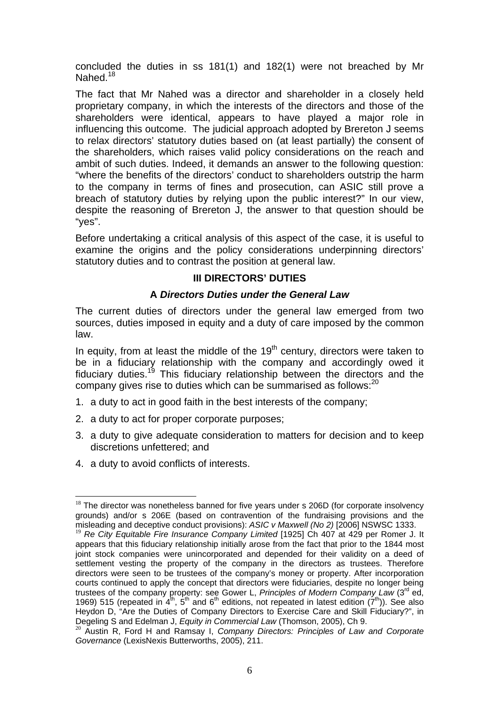concluded the duties in ss 181(1) and 182(1) were not breached by Mr Nahed.<sup>18</sup>

The fact that Mr Nahed was a director and shareholder in a closely held proprietary company, in which the interests of the directors and those of the shareholders were identical, appears to have played a major role in influencing this outcome. The judicial approach adopted by Brereton J seems to relax directors' statutory duties based on (at least partially) the consent of the shareholders, which raises valid policy considerations on the reach and ambit of such duties. Indeed, it demands an answer to the following question: "where the benefits of the directors' conduct to shareholders outstrip the harm to the company in terms of fines and prosecution, can ASIC still prove a breach of statutory duties by relying upon the public interest?" In our view, despite the reasoning of Brereton J, the answer to that question should be "yes".

Before undertaking a critical analysis of this aspect of the case, it is useful to examine the origins and the policy considerations underpinning directors' statutory duties and to contrast the position at general law.

#### **III DIRECTORS' DUTIES**

#### **A** *Directors Duties under the General Law*

The current duties of directors under the general law emerged from two sources, duties imposed in equity and a duty of care imposed by the common law.

In equity, from at least the middle of the  $19<sup>th</sup>$  century, directors were taken to be in a fiduciary relationship with the company and accordingly owed it fiduciary duties.<sup>19</sup> This fiduciary relationship between the directors and the company gives rise to duties which can be summarised as follows:<sup>20</sup>

- 1. a duty to act in good faith in the best interests of the company;
- 2. a duty to act for proper corporate purposes;
- 3. a duty to give adequate consideration to matters for decision and to keep discretions unfettered; and
- 4. a duty to avoid conflicts of interests.

 $18$  The director was nonetheless banned for five years under s 206D (for corporate insolvency grounds) and/or s 206E (based on contravention of the fundraising provisions and the misleading and deceptive conduct provisions): *ASIC v Maxwell (No 2)* [2006] NSWSC 1333.

<sup>&</sup>lt;sup>19</sup> Re City Equitable Fire Insurance Company Limited [1925] Ch 407 at 429 per Romer J. It appears that this fiduciary relationship initially arose from the fact that prior to the 1844 most joint stock companies were unincorporated and depended for their validity on a deed of settlement vesting the property of the company in the directors as trustees. Therefore directors were seen to be trustees of the company's money or property. After incorporation courts continued to apply the concept that directors were fiduciaries, despite no longer being trustees of the company property: see Gower L, *Principles of Modern Company Law* (3rd ed, 1969) 515 (repeated in  $4<sup>th</sup>$ , 5<sup>th</sup> and 6<sup>th</sup> editions, not repeated in latest edition (7<sup>th</sup>)). See also Heydon D, "Are the Duties of Company Directors to Exercise Care and Skill Fiduciary?", in<br>Degeling S and Edelman J, *Equity in Commercial Law* (Thomson, 2005), Ch 9.

<sup>&</sup>lt;sup>20</sup> Austin R, Ford H and Ramsay I, *Company Directors: Principles of Law and Corporate Governance* (LexisNexis Butterworths, 2005), 211.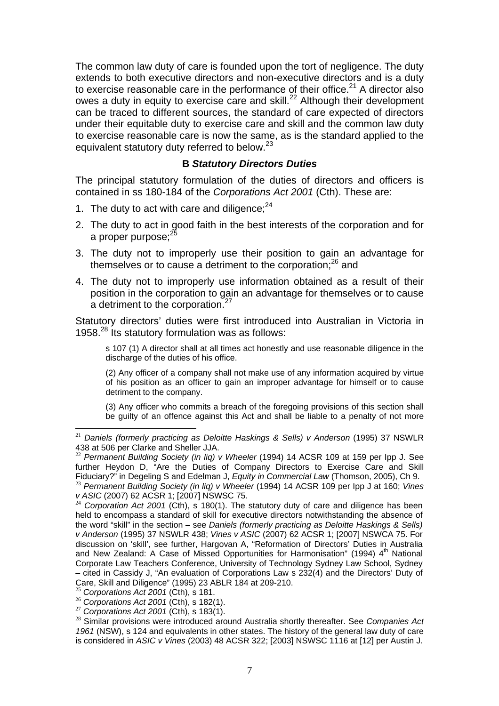The common law duty of care is founded upon the tort of negligence. The duty extends to both executive directors and non-executive directors and is a duty to exercise reasonable care in the performance of their office.<sup>21</sup> A director also owes a duty in equity to exercise care and skill.<sup>22</sup> Although their development can be traced to different sources, the standard of care expected of directors under their equitable duty to exercise care and skill and the common law duty to exercise reasonable care is now the same, as is the standard applied to the equivalent statutory duty referred to below.23

### **B** *Statutory Directors Duties*

The principal statutory formulation of the duties of directors and officers is contained in ss 180-184 of the *Corporations Act 2001* (Cth). These are:

- 1. The duty to act with care and diligence: $24$
- 2. The duty to act in good faith in the best interests of the corporation and for a proper purpose;<sup>2</sup>
- 3. The duty not to improperly use their position to gain an advantage for themselves or to cause a detriment to the corporation; $^{26}$  and
- 4. The duty not to improperly use information obtained as a result of their position in the corporation to gain an advantage for themselves or to cause a detriment to the corporation.<sup>27</sup>

Statutory directors' duties were first introduced into Australian in Victoria in 1958. $^{28}$  Its statutory formulation was as follows:

s 107 (1) A director shall at all times act honestly and use reasonable diligence in the discharge of the duties of his office.

(2) Any officer of a company shall not make use of any information acquired by virtue of his position as an officer to gain an improper advantage for himself or to cause detriment to the company.

(3) Any officer who commits a breach of the foregoing provisions of this section shall be guilty of an offence against this Act and shall be liable to a penalty of not more

<sup>&</sup>lt;sup>21</sup> Daniels (formerly practicing as Deloitte Haskings & Sells) v Anderson (1995) 37 NSWLR 438 at 506 per Clarke and Sheller JJA.

<sup>22</sup> *Permanent Building Society (in liq) v Wheeler* (1994) 14 ACSR 109 at 159 per Ipp J. See further Heydon D, "Are the Duties of Company Directors to Exercise Care and Skill Fiduciary?" in Degeling S and Edelman J, *Equity in Commercial Law* (Thomson, 2005), Ch 9. <sup>23</sup> *Permanent Building Society (in liq) v Wheeler* (1994) 14 ACSR 109 per Ipp J at 160; *Vines* 

*v ASIC* (2007) 62 ACSR 1; [2007] NSWSC 75. <sup>24</sup> *Corporation Act 2001* (Cth), s 180(1). The statutory duty of care and diligence has been

held to encompass a standard of skill for executive directors notwithstanding the absence of the word "skill" in the section – see *Daniels (formerly practicing as Deloitte Haskings & Sells) v Anderson* (1995) 37 NSWLR 438; *Vines v ASIC* (2007) 62 ACSR 1; [2007] NSWCA 75. For discussion on 'skill', see further, Hargovan A, "Reformation of Directors' Duties in Australia and New Zealand: A Case of Missed Opportunities for Harmonisation" (1994) 4<sup>th</sup> National Corporate Law Teachers Conference, University of Technology Sydney Law School, Sydney – cited in Cassidy J, "An evaluation of Corporations Law s 232(4) and the Directors' Duty of Care, Skill and Diligence" (1995) 23 ABLR 184 at 209-210.<br><sup>25</sup> Corporations Act 2001 (Cth), s 181.

<sup>&</sup>lt;sup>26</sup> Corporations Act 2001 (Cth), s 182(1).<br><sup>27</sup> Corporations Act 2001 (Cth), s 183(1).<br><sup>28</sup> Similar provisions were introduced around Australia shortly thereafter. See Companies Act *1961* (NSW), s 124 and equivalents in other states. The history of the general law duty of care is considered in *ASIC v Vines* (2003) 48 ACSR 322; [2003] NSWSC 1116 at [12] per Austin J.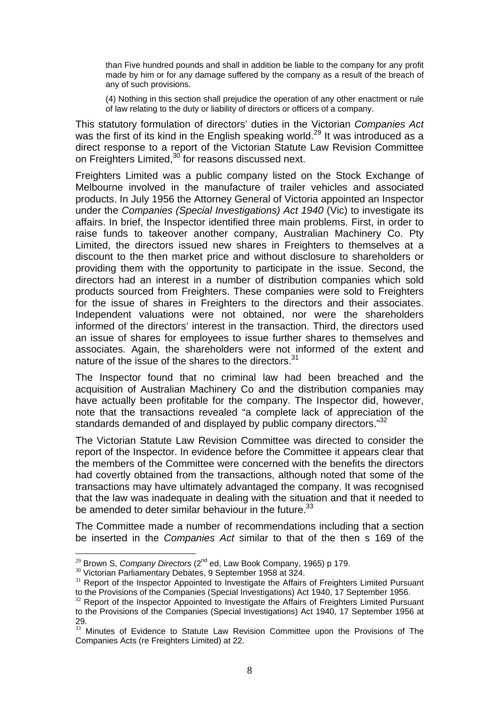than Five hundred pounds and shall in addition be liable to the company for any profit made by him or for any damage suffered by the company as a result of the breach of any of such provisions.

(4) Nothing in this section shall prejudice the operation of any other enactment or rule of law relating to the duty or liability of directors or officers of a company.

This statutory formulation of directors' duties in the Victorian *Companies Act* was the first of its kind in the English speaking world.<sup>29</sup> It was introduced as a direct response to a report of the Victorian Statute Law Revision Committee on Freighters Limited,<sup>30</sup> for reasons discussed next.

Freighters Limited was a public company listed on the Stock Exchange of Melbourne involved in the manufacture of trailer vehicles and associated products. In July 1956 the Attorney General of Victoria appointed an Inspector under the *Companies (Special Investigations) Act 1940* (Vic) to investigate its affairs. In brief, the Inspector identified three main problems. First, in order to raise funds to takeover another company, Australian Machinery Co. Pty Limited, the directors issued new shares in Freighters to themselves at a discount to the then market price and without disclosure to shareholders or providing them with the opportunity to participate in the issue. Second, the directors had an interest in a number of distribution companies which sold products sourced from Freighters. These companies were sold to Freighters for the issue of shares in Freighters to the directors and their associates. Independent valuations were not obtained, nor were the shareholders informed of the directors' interest in the transaction. Third, the directors used an issue of shares for employees to issue further shares to themselves and associates. Again, the shareholders were not informed of the extent and nature of the issue of the shares to the directors.<sup>31</sup>

The Inspector found that no criminal law had been breached and the acquisition of Australian Machinery Co and the distribution companies may have actually been profitable for the company. The Inspector did, however, note that the transactions revealed "a complete lack of appreciation of the standards demanded of and displayed by public company directors."32

The Victorian Statute Law Revision Committee was directed to consider the report of the Inspector. In evidence before the Committee it appears clear that the members of the Committee were concerned with the benefits the directors had covertly obtained from the transactions, although noted that some of the transactions may have ultimately advantaged the company. It was recognised that the law was inadequate in dealing with the situation and that it needed to be amended to deter similar behaviour in the future. $33$ 

The Committee made a number of recommendations including that a section be inserted in the *Companies Act* similar to that of the then s 169 of the

<sup>&</sup>lt;sup>29</sup> Brown S, *Company Directors* ( $2^{nd}$  ed, Law Book Company, 1965) p 179.<br><sup>30</sup> Victorian Parliamentary Debates, 9 September 1958 at 324.<br><sup>31</sup> Report of the Inspector Appointed to Investigate the Affairs of Freighters L

 $32$  Report of the Inspector Appointed to Investigate the Affairs of Freighters Limited Pursuant to the Provisions of the Companies (Special Investigations) Act 1940, 17 September 1956 at 29.

<sup>&</sup>lt;sup>33</sup> Minutes of Evidence to Statute Law Revision Committee upon the Provisions of The Companies Acts (re Freighters Limited) at 22.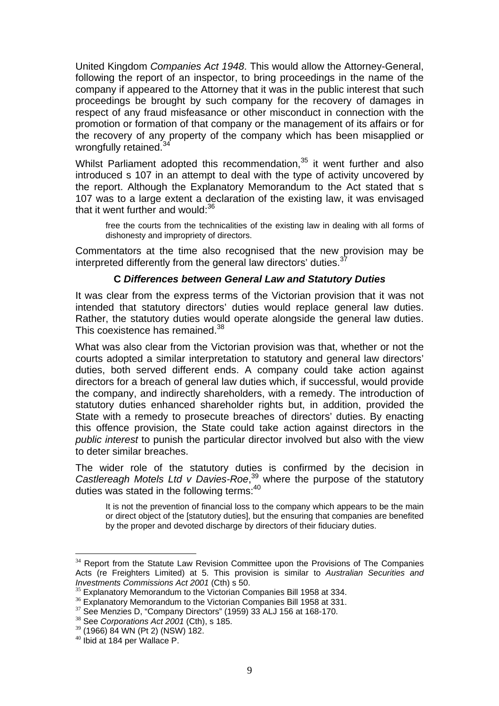United Kingdom *Companies Act 1948*. This would allow the Attorney-General, following the report of an inspector, to bring proceedings in the name of the company if appeared to the Attorney that it was in the public interest that such proceedings be brought by such company for the recovery of damages in respect of any fraud misfeasance or other misconduct in connection with the promotion or formation of that company or the management of its affairs or for the recovery of any property of the company which has been misapplied or wrongfully retained.<sup>3</sup>

Whilst Parliament adopted this recommendation, $35$  it went further and also introduced s 107 in an attempt to deal with the type of activity uncovered by the report. Although the Explanatory Memorandum to the Act stated that s 107 was to a large extent a declaration of the existing law, it was envisaged that it went further and would:<sup>36</sup>

free the courts from the technicalities of the existing law in dealing with all forms of dishonesty and impropriety of directors.

Commentators at the time also recognised that the new provision may be interpreted differently from the general law directors' duties.<sup>3</sup>

#### **C** *Differences between General Law and Statutory Duties*

It was clear from the express terms of the Victorian provision that it was not intended that statutory directors' duties would replace general law duties. Rather, the statutory duties would operate alongside the general law duties. This coexistence has remained.<sup>38</sup>

What was also clear from the Victorian provision was that, whether or not the courts adopted a similar interpretation to statutory and general law directors' duties, both served different ends. A company could take action against directors for a breach of general law duties which, if successful, would provide the company, and indirectly shareholders, with a remedy. The introduction of statutory duties enhanced shareholder rights but, in addition, provided the State with a remedy to prosecute breaches of directors' duties. By enacting this offence provision, the State could take action against directors in the *public interest* to punish the particular director involved but also with the view to deter similar breaches.

The wider role of the statutory duties is confirmed by the decision in *Castlereagh Motels Ltd v Davies-Roe*, 39 where the purpose of the statutory duties was stated in the following terms: $40$ 

It is not the prevention of financial loss to the company which appears to be the main or direct object of the [statutory duties], but the ensuring that companies are benefited by the proper and devoted discharge by directors of their fiduciary duties.

<sup>&</sup>lt;sup>34</sup> Report from the Statute Law Revision Committee upon the Provisions of The Companies Acts (re Freighters Limited) at 5. This provision is similar to *Australian Securities and* 

<sup>&</sup>lt;sup>35</sup> Explanatory Memorandum to the Victorian Companies Bill 1958 at 334.

 $36$  Explanatory Memorandum to the Victorian Companies Bill 1958 at 331.

 $37$  See Menzies D, "Company Directors" (1959) 33 ALJ 156 at 168-170.

<sup>38</sup> See *Corporations Act 2001* (Cth), s 185.

<sup>39</sup> (1966) 84 WN (Pt 2) (NSW) 182.

<sup>40</sup> Ibid at 184 per Wallace P.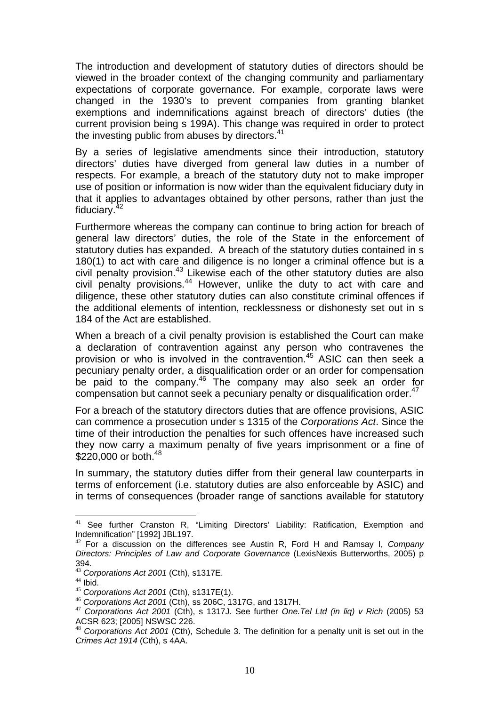The introduction and development of statutory duties of directors should be viewed in the broader context of the changing community and parliamentary expectations of corporate governance. For example, corporate laws were changed in the 1930's to prevent companies from granting blanket exemptions and indemnifications against breach of directors' duties (the current provision being s 199A). This change was required in order to protect the investing public from abuses by directors.<sup>41</sup>

By a series of legislative amendments since their introduction, statutory directors' duties have diverged from general law duties in a number of respects. For example, a breach of the statutory duty not to make improper use of position or information is now wider than the equivalent fiduciary duty in that it applies to advantages obtained by other persons, rather than just the fiduciary.42

Furthermore whereas the company can continue to bring action for breach of general law directors' duties, the role of the State in the enforcement of statutory duties has expanded. A breach of the statutory duties contained in s 180(1) to act with care and diligence is no longer a criminal offence but is a civil penalty provision. $43$  Likewise each of the other statutory duties are also civil penalty provisions.<sup>44</sup> However, unlike the duty to act with care and diligence, these other statutory duties can also constitute criminal offences if the additional elements of intention, recklessness or dishonesty set out in s 184 of the Act are established.

When a breach of a civil penalty provision is established the Court can make a declaration of contravention against any person who contravenes the provision or who is involved in the contravention.<sup>45</sup> ASIC can then seek a pecuniary penalty order, a disqualification order or an order for compensation be paid to the company.<sup>46</sup> The company may also seek an order for compensation but cannot seek a pecuniary penalty or disqualification order.<sup>47</sup>

For a breach of the statutory directors duties that are offence provisions, ASIC can commence a prosecution under s 1315 of the *Corporations Act*. Since the time of their introduction the penalties for such offences have increased such they now carry a maximum penalty of five years imprisonment or a fine of \$220,000 or both.<sup>48</sup>

In summary, the statutory duties differ from their general law counterparts in terms of enforcement (i.e. statutory duties are also enforceable by ASIC) and in terms of consequences (broader range of sanctions available for statutory

 $\overline{a}$ <sup>41</sup> See further Cranston R, "Limiting Directors' Liability: Ratification, Exemption and Indemnification" [1992] JBL197.

<sup>42</sup> For a discussion on the differences see Austin R, Ford H and Ramsay I, *Company Directors: Principles of Law and Corporate Governance* (LexisNexis Butterworths, 2005) p 394.

<sup>&</sup>lt;sup>43</sup> Corporations Act 2001 (Cth), s1317E.<br><sup>44</sup> Ibid.<br><sup>45</sup> Corporations Act 2001 (Cth), s1317E(1).

<sup>&</sup>lt;sup>46</sup> *Corporations Act 2001* (Cth), ss 206C, 1317G, and 1317H.<br><sup>47</sup> *Corporations Act 2001* (Cth), s 1317J. See further *One.Tel Ltd (in liq) v Rich* (2005) 53 ACSR 623; [2005] NSWSC 226.

<sup>48</sup> *Corporations Act 2001* (Cth), Schedule 3. The definition for a penalty unit is set out in the *Crimes Act 1914* (Cth), s 4AA.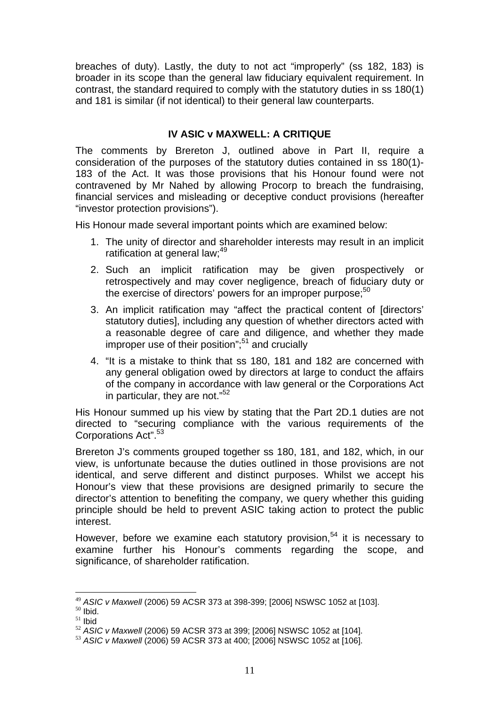breaches of duty). Lastly, the duty to not act "improperly" (ss 182, 183) is broader in its scope than the general law fiduciary equivalent requirement. In contrast, the standard required to comply with the statutory duties in ss 180(1) and 181 is similar (if not identical) to their general law counterparts.

# **IV ASIC v MAXWELL: A CRITIQUE**

The comments by Brereton J, outlined above in Part II, require a consideration of the purposes of the statutory duties contained in ss 180(1)- 183 of the Act. It was those provisions that his Honour found were not contravened by Mr Nahed by allowing Procorp to breach the fundraising, financial services and misleading or deceptive conduct provisions (hereafter "investor protection provisions").

His Honour made several important points which are examined below:

- 1. The unity of director and shareholder interests may result in an implicit ratification at general law;<sup>49</sup>
- 2. Such an implicit ratification may be given prospectively or retrospectively and may cover negligence, breach of fiduciary duty or the exercise of directors' powers for an improper purpose; $50$
- 3. An implicit ratification may "affect the practical content of [directors' statutory duties], including any question of whether directors acted with a reasonable degree of care and diligence, and whether they made improper use of their position";<sup>51</sup> and crucially
- 4. "It is a mistake to think that ss 180, 181 and 182 are concerned with any general obligation owed by directors at large to conduct the affairs of the company in accordance with law general or the Corporations Act in particular, they are not."<sup>52</sup>

His Honour summed up his view by stating that the Part 2D.1 duties are not directed to "securing compliance with the various requirements of the Corporations Act".<sup>53</sup>

Brereton J's comments grouped together ss 180, 181, and 182, which, in our view, is unfortunate because the duties outlined in those provisions are not identical, and serve different and distinct purposes. Whilst we accept his Honour's view that these provisions are designed primarily to secure the director's attention to benefiting the company, we query whether this guiding principle should be held to prevent ASIC taking action to protect the public interest.

However, before we examine each statutory provision.<sup>54</sup> it is necessary to examine further his Honour's comments regarding the scope, and significance, of shareholder ratification.

 $\overline{a}$ <sup>49</sup> *ASIC v Maxwell* (2006) 59 ACSR 373 at 398-399; [2006] NSWSC 1052 at [103].<br><sup>50</sup> Ibid.

 $\frac{50}{100}$  lbid.<br>
<sup>51</sup> Ibid.<br>
<sup>52</sup> ASIC v Maxwell (2006) 59 ACSR 373 at 399: [2006] NSWSC 1052 at [104].

<sup>52</sup> *ASIC v Maxwell* (2006) 59 ACSR 373 at 399; [2006] NSWSC 1052 at [104]. <sup>53</sup> *ASIC v Maxwell* (2006) 59 ACSR 373 at 400; [2006] NSWSC 1052 at [106].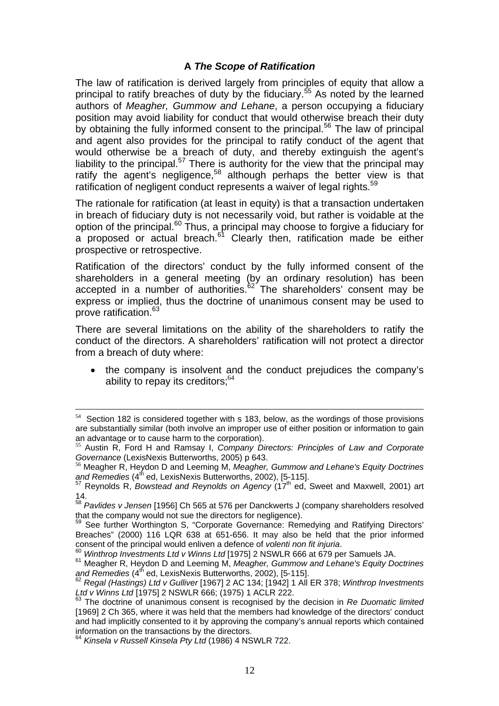# **A** *The Scope of Ratification*

The law of ratification is derived largely from principles of equity that allow a principal to ratify breaches of duty by the fiduciary.<sup>55</sup> As noted by the learned authors of *Meagher, Gummow and Lehane*, a person occupying a fiduciary position may avoid liability for conduct that would otherwise breach their duty by obtaining the fully informed consent to the principal.<sup>56</sup> The law of principal and agent also provides for the principal to ratify conduct of the agent that would otherwise be a breach of duty, and thereby extinguish the agent's liability to the principal.<sup>57</sup> There is authority for the view that the principal may ratify the agent's negligence,<sup>58</sup> although perhaps the better view is that ratification of negligent conduct represents a waiver of legal rights.<sup>59</sup>

The rationale for ratification (at least in equity) is that a transaction undertaken in breach of fiduciary duty is not necessarily void, but rather is voidable at the option of the principal.60 Thus, a principal may choose to forgive a fiduciary for a proposed or actual breach.<sup>61</sup> Clearly then, ratification made be either prospective or retrospective.

Ratification of the directors' conduct by the fully informed consent of the shareholders in a general meeting (by an ordinary resolution) has been accepted in a number of authorities. $62$  The shareholders' consent may be express or implied, thus the doctrine of unanimous consent may be used to prove ratification.63

There are several limitations on the ability of the shareholders to ratify the conduct of the directors. A shareholders' ratification will not protect a director from a breach of duty where:

• the company is insolvent and the conduct prejudices the company's ability to repay its creditors; $64$ 

Section 182 is considered together with s 183, below, as the wordings of those provisions are substantially similar (both involve an improper use of either position or information to gain an advantage or to cause harm to the corporation).

<sup>55</sup> Austin R, Ford H and Ramsay I, *Company Directors: Principles of Law and Corporate Governance* (LexisNexis Butterworths, 2005) p 643.<br><sup>56</sup> Meagher R, Heydon D and Leeming M, *Meagher, Gummow and Lehane's Equity Doctrines* 

and Remedies (4<sup>th</sup> ed, LexisNexis Butterworths, 2002), [5-115].

<sup>&</sup>lt;sup>57</sup> Reynolds R, *Bowstead and Reynolds on Agency* (17<sup>th</sup> ed, Sweet and Maxwell, 2001) art 14.

<sup>58</sup> *Pavlides v Jensen* [1956] Ch 565 at 576 per Danckwerts J (company shareholders resolved

that the company<br><sup>59</sup> See further Worthington S, "Corporate Governance: Remedying and Ratifying Directors' Breaches" (2000) 116 LQR 638 at 651-656. It may also be held that the prior informed

consent of the principal would enliven a defence of *volenti non fit injuria*.<br><sup>60</sup> Winthrop Investments Ltd v Winns Ltd [1975] 2 NSWLR 666 at 679 per Samuels JA.<br><sup>61</sup> Meagher R, Heydon D and Leeming M, *Meagher, Gummow a* 

<sup>&</sup>lt;sup>62</sup> Regal (Hastings) Ltd v Gulliver [1967] 2 AC 134; [1942] 1 All ER 378; *Winthrop Investments* Ltd v Winns Ltd [1975] 2 NSWLR 666; (1975) 1 ACLR 222.

<sup>&</sup>lt;sup>63</sup> The doctrine of unanimous consent is recognised by the decision in *Re Duomatic limited* [1969] 2 Ch 365, where it was held that the members had knowledge of the directors' conduct and had implicitly consented to it by approving the company's annual reports which contained information on the transactions by the directors.

<sup>64</sup> *Kinsela v Russell Kinsela Pty Ltd* (1986) 4 NSWLR 722.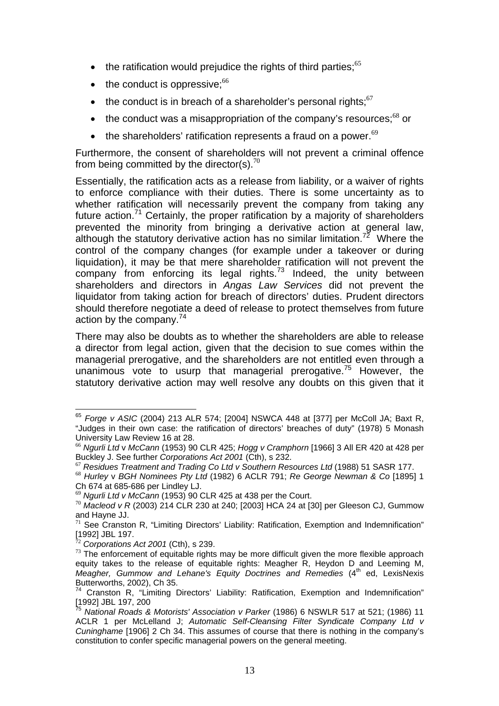- the ratification would prejudice the rights of third parties; $65$
- the conduct is oppressive: $66$
- the conduct is in breach of a shareholder's personal rights; $67$
- the conduct was a misappropriation of the company's resources; $^{68}$  or
- the shareholders' ratification represents a fraud on a power. $69$

Furthermore, the consent of shareholders will not prevent a criminal offence from being committed by the director(s).<sup>70</sup>

Essentially, the ratification acts as a release from liability, or a waiver of rights to enforce compliance with their duties. There is some uncertainty as to whether ratification will necessarily prevent the company from taking any future action.<sup>71</sup> Certainly, the proper ratification by a majority of shareholders prevented the minority from bringing a derivative action at general law, although the statutory derivative action has no similar limitation.<sup>72</sup> Where the control of the company changes (for example under a takeover or during liquidation), it may be that mere shareholder ratification will not prevent the company from enforcing its legal rights.<sup>73</sup> Indeed, the unity between shareholders and directors in *Angas Law Services* did not prevent the liquidator from taking action for breach of directors' duties. Prudent directors should therefore negotiate a deed of release to protect themselves from future action by the company. $74$ 

There may also be doubts as to whether the shareholders are able to release a director from legal action, given that the decision to sue comes within the managerial prerogative, and the shareholders are not entitled even through a unanimous vote to usurp that managerial prerogative.<sup>75</sup> However, the statutory derivative action may well resolve any doubts on this given that it

<sup>65</sup> *Forge v ASIC* (2004) 213 ALR 574; [2004] NSWCA 448 at [377] per McColl JA; Baxt R, "Judges in their own case: the ratification of directors' breaches of duty" (1978) 5 Monash University Law Review 16 at 28.

<sup>&</sup>lt;sup>66</sup> Ngurli Ltd v McCann (1953) 90 CLR 425; *Hogg v Cramphorn* [1966] 3 All ER 420 at 428 per Buckley J. See further Corporations Act 2001 (Cth), s 232.

 $^{67}$  Residues Treatment and Trading Co Ltd v Southern Resources Ltd (1988) 51 SASR 177.<br> $^{68}$  Hurley v BGH Nominees Pty Ltd (1982) 6 ACLR 791; Re George Newman & Co [1895] 1

Ch 674 at 685-686 per Lindley LJ.<br><sup>69</sup> Ngurli Ltd v McCann (1953) 90 CLR 425 at 438 per the Court.

<sup>&</sup>lt;sup>70</sup> Macleod v R (2003) 214 CLR 230 at 240; [2003] HCA 24 at [30] per Gleeson CJ, Gummow and Hayne JJ.

 $71$  See Cranston R, "Limiting Directors' Liability: Ratification, Exemption and Indemnification"  $[1992]$  JBL 197.

 $72$  *Corporations Act 2001* (Cth), s 239.<br> $73$  The enforcement of equitable rights may be more difficult given the more flexible approach equity takes to the release of equitable rights: Meagher R, Heydon D and Leeming M, *Meagher, Gummow and Lehane's Equity Doctrines and Remedies (4<sup>th</sup> ed, LexisNexis* Butterworths, 2002), Ch 35.

<sup>&</sup>lt;sup>74</sup> Cranston R, "Limiting Directors' Liability: Ratification, Exemption and Indemnification" [1992] JBL 197, 200

<sup>75</sup> *National Roads & Motorists' Association v Parker* (1986) 6 NSWLR 517 at 521; (1986) 11 ACLR 1 per McLelland J; *Automatic Self-Cleansing Filter Syndicate Company Ltd v Cuninghame* [1906] 2 Ch 34. This assumes of course that there is nothing in the company's constitution to confer specific managerial powers on the general meeting.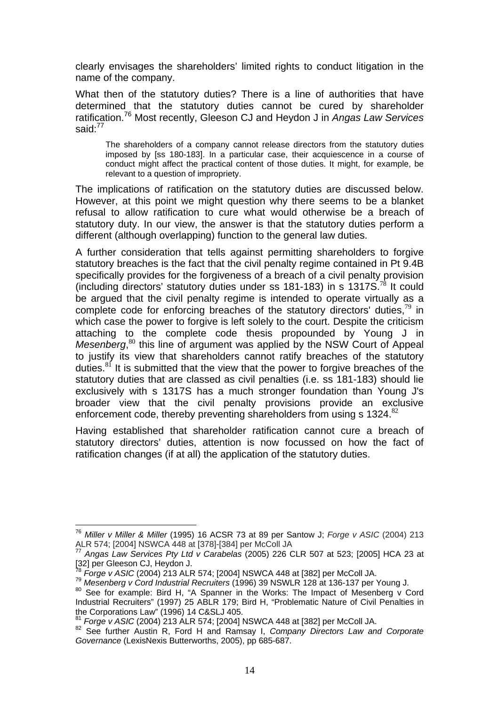clearly envisages the shareholders' limited rights to conduct litigation in the name of the company.

What then of the statutory duties? There is a line of authorities that have determined that the statutory duties cannot be cured by shareholder ratification.76 Most recently, Gleeson CJ and Heydon J in *Angas Law Services*  said:<sup>77</sup>

The shareholders of a company cannot release directors from the statutory duties imposed by [ss 180-183]. In a particular case, their acquiescence in a course of conduct might affect the practical content of those duties. It might, for example, be relevant to a question of impropriety.

The implications of ratification on the statutory duties are discussed below. However, at this point we might question why there seems to be a blanket refusal to allow ratification to cure what would otherwise be a breach of statutory duty. In our view, the answer is that the statutory duties perform a different (although overlapping) function to the general law duties.

A further consideration that tells against permitting shareholders to forgive statutory breaches is the fact that the civil penalty regime contained in Pt 9.4B specifically provides for the forgiveness of a breach of a civil penalty provision (including directors' statutory duties under ss 181-183) in s 1317S.<sup>78</sup> It could be argued that the civil penalty regime is intended to operate virtually as a complete code for enforcing breaches of the statutory directors' duties,  $79$  in which case the power to forgive is left solely to the court. Despite the criticism attaching to the complete code thesis propounded by Young J in Mesenberg,<sup>80</sup> this line of argument was applied by the NSW Court of Appeal to justify its view that shareholders cannot ratify breaches of the statutory duties. $81$  It is submitted that the view that the power to forgive breaches of the statutory duties that are classed as civil penalties (i.e. ss 181-183) should lie exclusively with s 1317S has a much stronger foundation than Young J's broader view that the civil penalty provisions provide an exclusive enforcement code, thereby preventing shareholders from using  $s$  1324.<sup>82</sup>

Having established that shareholder ratification cannot cure a breach of statutory directors' duties, attention is now focussed on how the fact of ratification changes (if at all) the application of the statutory duties.

 $\overline{a}$ <sup>76</sup> *Miller v Miller & Miller* (1995) 16 ACSR 73 at 89 per Santow J; *Forge v ASIC* (2004) 213 ALR 574; [2004] NSWCA 448 at [378]-[384] per McColl JA

<sup>77</sup> *Angas Law Services Pty Ltd v Carabelas* (2005) 226 CLR 507 at 523; [2005] HCA 23 at [32] per Gleeson CJ, Heydon J.<br><sup>78</sup> Forge v ASIC (2004) 213 ALR 574; [2004] NSWCA 448 at [382] per McColl JA.

Mesenberg v Cord Industrial Recruiters (1996) 39 NSWLR 128 at 136-137 per Young J.<br><sup>80</sup> See for example: Bird H, "A Spanner in the Works: The Impact of Mesenberg v Cord

Industrial Recruiters" (1997) 25 ABLR 179; Bird H, "Problematic Nature of Civil Penalties in the Corporations Law" (1996) 14 C&SLJ 405.<br>
<sup>81</sup> Forge v ASIC (2004) 213 ALR 574; [2004] NSWCA 448 at [382] per McColl JA.

<sup>&</sup>lt;sup>82</sup> See further Austin R, Ford H and Ramsay I, *Company Directors Law and Corporate Governance* (LexisNexis Butterworths, 2005), pp 685-687.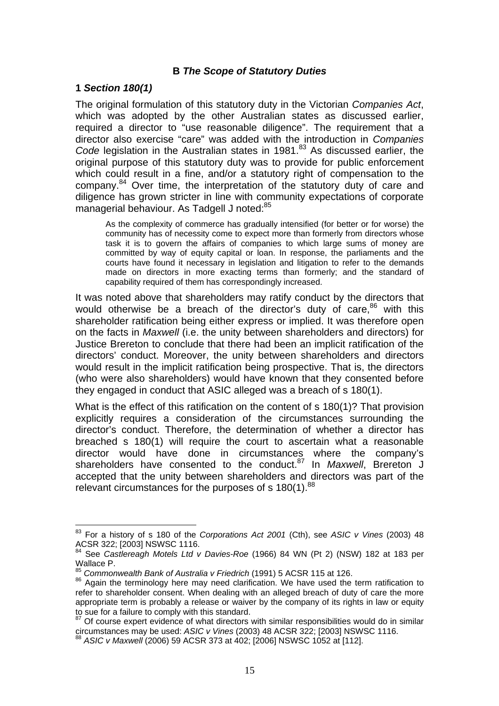#### **B** *The Scope of Statutory Duties*

#### **1** *Section 180(1)*

 $\overline{a}$ 

The original formulation of this statutory duty in the Victorian *Companies Act*, which was adopted by the other Australian states as discussed earlier, required a director to "use reasonable diligence". The requirement that a director also exercise "care" was added with the introduction in *Companies*  Code legislation in the Australian states in 1981.<sup>83</sup> As discussed earlier, the original purpose of this statutory duty was to provide for public enforcement which could result in a fine, and/or a statutory right of compensation to the company.<sup>84</sup> Over time, the interpretation of the statutory duty of care and diligence has grown stricter in line with community expectations of corporate managerial behaviour. As Tadgell J noted:<sup>85</sup>

As the complexity of commerce has gradually intensified (for better or for worse) the community has of necessity come to expect more than formerly from directors whose task it is to govern the affairs of companies to which large sums of money are committed by way of equity capital or loan. In response, the parliaments and the courts have found it necessary in legislation and litigation to refer to the demands made on directors in more exacting terms than formerly; and the standard of capability required of them has correspondingly increased.

It was noted above that shareholders may ratify conduct by the directors that would otherwise be a breach of the director's duty of care.<sup>86</sup> with this shareholder ratification being either express or implied. It was therefore open on the facts in *Maxwell* (i.e. the unity between shareholders and directors) for Justice Brereton to conclude that there had been an implicit ratification of the directors' conduct. Moreover, the unity between shareholders and directors would result in the implicit ratification being prospective. That is, the directors (who were also shareholders) would have known that they consented before they engaged in conduct that ASIC alleged was a breach of s 180(1).

What is the effect of this ratification on the content of s 180(1)? That provision explicitly requires a consideration of the circumstances surrounding the director's conduct. Therefore, the determination of whether a director has breached s 180(1) will require the court to ascertain what a reasonable director would have done in circumstances where the company's shareholders have consented to the conduct.<sup>87</sup> In *Maxwell*, Brereton J accepted that the unity between shareholders and directors was part of the relevant circumstances for the purposes of s  $180(1)$ .<sup>88</sup>

<sup>83</sup> For a history of s 180 of the *Corporations Act 2001* (Cth), see *ASIC v Vines* (2003) 48 ACSR 322; [2003] NSWSC 1116.

<sup>84</sup> See *Castlereagh Motels Ltd v Davies-Roe* (1966) 84 WN (Pt 2) (NSW) 182 at 183 per Wallace P.<br><sup>85</sup> Commonwealth Bank of Australia v Friedrich (1991) 5 ACSR 115 at 126.

<sup>86</sup> Again the terminology here may need clarification. We have used the term ratification to refer to shareholder consent. When dealing with an alleged breach of duty of care the more appropriate term is probably a release or waiver by the company of its rights in law or equity to sue for a failure to comply with this standard.

 $\frac{87}{67}$  Of course expert evidence of what directors with similar responsibilities would do in similar circumstances may be used: ASIC  $\nu$  Vines (2003) 48 ACSR 322; [2003] NSWSC 1116.

<sup>88</sup> ASIC *v Maxwell* (2006) 59 ACSR 373 at 402; [2006] NSWSC 1052 at [112].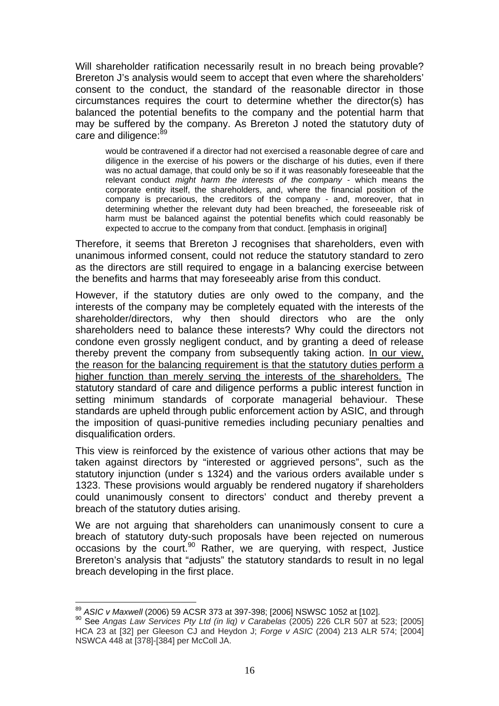Will shareholder ratification necessarily result in no breach being provable? Brereton J's analysis would seem to accept that even where the shareholders' consent to the conduct, the standard of the reasonable director in those circumstances requires the court to determine whether the director(s) has balanced the potential benefits to the company and the potential harm that may be suffered by the company. As Brereton J noted the statutory duty of care and diligence:<sup>89</sup>

would be contravened if a director had not exercised a reasonable degree of care and diligence in the exercise of his powers or the discharge of his duties, even if there was no actual damage, that could only be so if it was reasonably foreseeable that the relevant conduct *might harm the interests of the company* - which means the corporate entity itself, the shareholders, and, where the financial position of the company is precarious, the creditors of the company - and, moreover, that in determining whether the relevant duty had been breached, the foreseeable risk of harm must be balanced against the potential benefits which could reasonably be expected to accrue to the company from that conduct. [emphasis in original]

Therefore, it seems that Brereton J recognises that shareholders, even with unanimous informed consent, could not reduce the statutory standard to zero as the directors are still required to engage in a balancing exercise between the benefits and harms that may foreseeably arise from this conduct.

However, if the statutory duties are only owed to the company, and the interests of the company may be completely equated with the interests of the shareholder/directors, why then should directors who are the only shareholders need to balance these interests? Why could the directors not condone even grossly negligent conduct, and by granting a deed of release thereby prevent the company from subsequently taking action. In our view, the reason for the balancing requirement is that the statutory duties perform a higher function than merely serving the interests of the shareholders. The statutory standard of care and diligence performs a public interest function in setting minimum standards of corporate managerial behaviour. These standards are upheld through public enforcement action by ASIC, and through the imposition of quasi-punitive remedies including pecuniary penalties and disqualification orders.

This view is reinforced by the existence of various other actions that may be taken against directors by "interested or aggrieved persons", such as the statutory injunction (under s 1324) and the various orders available under s 1323. These provisions would arguably be rendered nugatory if shareholders could unanimously consent to directors' conduct and thereby prevent a breach of the statutory duties arising.

We are not arguing that shareholders can unanimously consent to cure a breach of statutory duty-such proposals have been rejected on numerous occasions by the court.90 Rather, we are querying, with respect, Justice Brereton's analysis that "adjusts" the statutory standards to result in no legal breach developing in the first place.

<sup>89</sup> ASIC v Maxwell (2006) 59 ACSR 373 at 397-398; [2006] NSWSC 1052 at [102].

<sup>&</sup>lt;sup>90</sup> See *Angas Law Services Pty Ltd (in lig) v Carabelas (2005) 226 CLR 507 at 523; [2005]* HCA 23 at [32] per Gleeson CJ and Heydon J; *Forge v ASIC* (2004) 213 ALR 574; [2004] NSWCA 448 at [378]-[384] per McColl JA.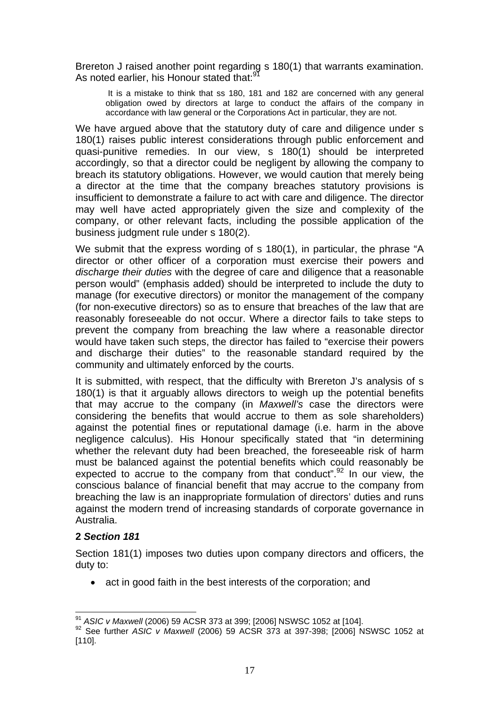Brereton J raised another point regarding s 180(1) that warrants examination. As noted earlier, his Honour stated that:<sup>91</sup>

 It is a mistake to think that ss 180, 181 and 182 are concerned with any general obligation owed by directors at large to conduct the affairs of the company in accordance with law general or the Corporations Act in particular, they are not.

We have argued above that the statutory duty of care and diligence under s 180(1) raises public interest considerations through public enforcement and quasi-punitive remedies. In our view, s 180(1) should be interpreted accordingly, so that a director could be negligent by allowing the company to breach its statutory obligations. However, we would caution that merely being a director at the time that the company breaches statutory provisions is insufficient to demonstrate a failure to act with care and diligence. The director may well have acted appropriately given the size and complexity of the company, or other relevant facts, including the possible application of the business judgment rule under s 180(2).

We submit that the express wording of s 180(1), in particular, the phrase "A director or other officer of a corporation must exercise their powers and *discharge their duties* with the degree of care and diligence that a reasonable person would" (emphasis added) should be interpreted to include the duty to manage (for executive directors) or monitor the management of the company (for non-executive directors) so as to ensure that breaches of the law that are reasonably foreseeable do not occur. Where a director fails to take steps to prevent the company from breaching the law where a reasonable director would have taken such steps, the director has failed to "exercise their powers and discharge their duties" to the reasonable standard required by the community and ultimately enforced by the courts.

It is submitted, with respect, that the difficulty with Brereton J's analysis of s 180(1) is that it arguably allows directors to weigh up the potential benefits that may accrue to the company (in *Maxwell's* case the directors were considering the benefits that would accrue to them as sole shareholders) against the potential fines or reputational damage (i.e. harm in the above negligence calculus). His Honour specifically stated that "in determining whether the relevant duty had been breached, the foreseeable risk of harm must be balanced against the potential benefits which could reasonably be expected to accrue to the company from that conduct".<sup>92</sup> In our view, the conscious balance of financial benefit that may accrue to the company from breaching the law is an inappropriate formulation of directors' duties and runs against the modern trend of increasing standards of corporate governance in Australia.

#### **2** *Section 181*

Section 181(1) imposes two duties upon company directors and officers, the duty to:

• act in good faith in the best interests of the corporation; and

 $\overline{a}$ 

<sup>&</sup>lt;sup>91</sup> *ASIC v Maxwell* (2006) 59 ACSR 373 at 399; [2006] NSWSC 1052 at [104].<br><sup>92</sup> See further *ASIC v Maxwell* (2006) 59 ACSR 373 at 397-398; [2006] NSWSC 1052 at [110].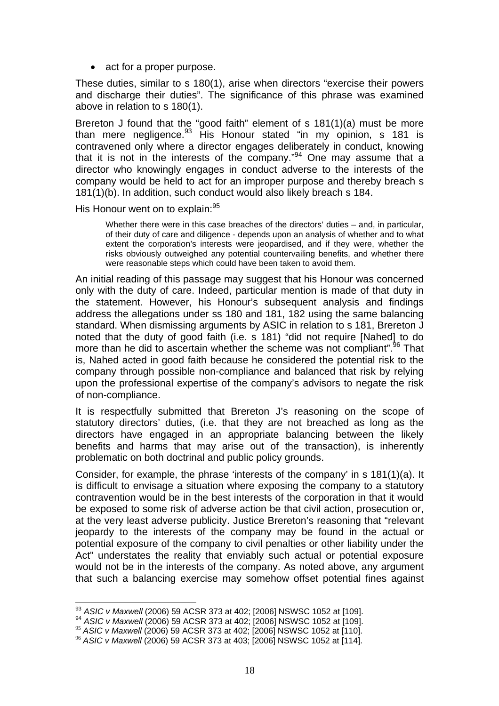• act for a proper purpose.

These duties, similar to s 180(1), arise when directors "exercise their powers and discharge their duties". The significance of this phrase was examined above in relation to s 180(1).

Brereton J found that the "good faith" element of s 181(1)(a) must be more than mere negligence.93 His Honour stated "in my opinion, s 181 is contravened only where a director engages deliberately in conduct, knowing that it is not in the interests of the company."<sup>94</sup> One may assume that a director who knowingly engages in conduct adverse to the interests of the company would be held to act for an improper purpose and thereby breach s 181(1)(b). In addition, such conduct would also likely breach s 184.

His Honour went on to explain: 95

Whether there were in this case breaches of the directors' duties – and, in particular, of their duty of care and diligence - depends upon an analysis of whether and to what extent the corporation's interests were jeopardised, and if they were, whether the risks obviously outweighed any potential countervailing benefits, and whether there were reasonable steps which could have been taken to avoid them.

An initial reading of this passage may suggest that his Honour was concerned only with the duty of care. Indeed, particular mention is made of that duty in the statement. However, his Honour's subsequent analysis and findings address the allegations under ss 180 and 181, 182 using the same balancing standard. When dismissing arguments by ASIC in relation to s 181, Brereton J noted that the duty of good faith (i.e. s 181) "did not require [Nahed] to do more than he did to ascertain whether the scheme was not compliant".<sup>96</sup> That is, Nahed acted in good faith because he considered the potential risk to the company through possible non-compliance and balanced that risk by relying upon the professional expertise of the company's advisors to negate the risk of non-compliance.

It is respectfully submitted that Brereton J's reasoning on the scope of statutory directors' duties, (i.e. that they are not breached as long as the directors have engaged in an appropriate balancing between the likely benefits and harms that may arise out of the transaction), is inherently problematic on both doctrinal and public policy grounds.

Consider, for example, the phrase 'interests of the company' in s 181(1)(a). It is difficult to envisage a situation where exposing the company to a statutory contravention would be in the best interests of the corporation in that it would be exposed to some risk of adverse action be that civil action, prosecution or, at the very least adverse publicity. Justice Brereton's reasoning that "relevant jeopardy to the interests of the company may be found in the actual or potential exposure of the company to civil penalties or other liability under the Act" understates the reality that enviably such actual or potential exposure would not be in the interests of the company. As noted above, any argument that such a balancing exercise may somehow offset potential fines against

<sup>&</sup>lt;sup>93</sup> ASIC v Maxwell (2006) 59 ACSR 373 at 402; [2006] NSWSC 1052 at [109].

<sup>93</sup> *ASIC v Maxwell* (2006) 59 ACSR 373 at 402; [2006] NSWSC 1052 at [109]. 94 *ASIC v Maxwell* (2006) 59 ACSR 373 at 402; [2006] NSWSC 1052 at [109].

<sup>95</sup> *ASIC v Maxwell* (2006) 59 ACSR 373 at 402; [2006] NSWSC 1052 at [110]. <sup>96</sup> *ASIC v Maxwell* (2006) 59 ACSR 373 at 403; [2006] NSWSC 1052 at [114].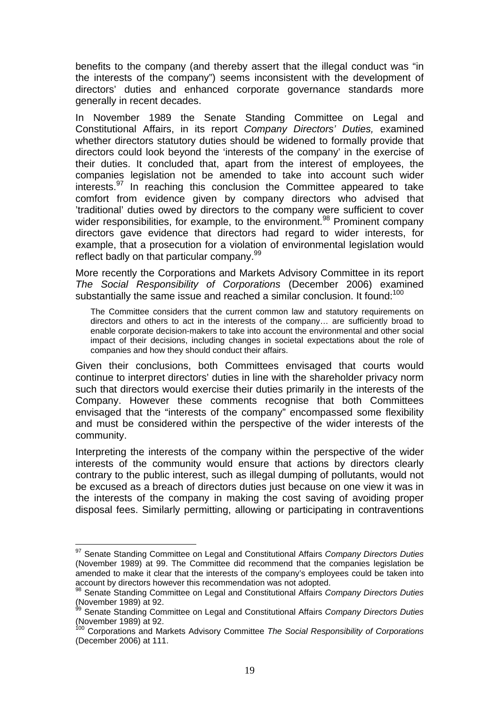benefits to the company (and thereby assert that the illegal conduct was "in the interests of the company") seems inconsistent with the development of directors' duties and enhanced corporate governance standards more generally in recent decades.

In November 1989 the Senate Standing Committee on Legal and Constitutional Affairs, in its report *Company Directors' Duties,* examined whether directors statutory duties should be widened to formally provide that directors could look beyond the 'interests of the company' in the exercise of their duties. It concluded that, apart from the interest of employees, the companies legislation not be amended to take into account such wider interests.<sup>97</sup> In reaching this conclusion the Committee appeared to take comfort from evidence given by company directors who advised that 'traditional' duties owed by directors to the company were sufficient to cover wider responsibilities, for example, to the environment.<sup>98</sup> Prominent company directors gave evidence that directors had regard to wider interests, for example, that a prosecution for a violation of environmental legislation would reflect badly on that particular company.<sup>99</sup>

More recently the Corporations and Markets Advisory Committee in its report *The Social Responsibility of Corporations* (December 2006) examined substantially the same issue and reached a similar conclusion. It found:<sup>100</sup>

The Committee considers that the current common law and statutory requirements on directors and others to act in the interests of the company… are sufficiently broad to enable corporate decision-makers to take into account the environmental and other social impact of their decisions, including changes in societal expectations about the role of companies and how they should conduct their affairs.

Given their conclusions, both Committees envisaged that courts would continue to interpret directors' duties in line with the shareholder privacy norm such that directors would exercise their duties primarily in the interests of the Company. However these comments recognise that both Committees envisaged that the "interests of the company" encompassed some flexibility and must be considered within the perspective of the wider interests of the community.

Interpreting the interests of the company within the perspective of the wider interests of the community would ensure that actions by directors clearly contrary to the public interest, such as illegal dumping of pollutants, would not be excused as a breach of directors duties just because on one view it was in the interests of the company in making the cost saving of avoiding proper disposal fees. Similarly permitting, allowing or participating in contraventions

<sup>97</sup> Senate Standing Committee on Legal and Constitutional Affairs *Company Directors Duties* (November 1989) at 99. The Committee did recommend that the companies legislation be amended to make it clear that the interests of the company's employees could be taken into account by directors however this recommendation was not adopted.<br><sup>98</sup> Senate Standing Committee on Legal and Constitutional Affairs *Company Directors Duties* 

<sup>(</sup>November 1989) at 92.

<sup>&</sup>lt;sup>99</sup> Senate Standing Committee on Legal and Constitutional Affairs *Company Directors Duties* (November 1989) at 92.

<sup>100</sup> Corporations and Markets Advisory Committee *The Social Responsibility of Corporations* (December 2006) at 111.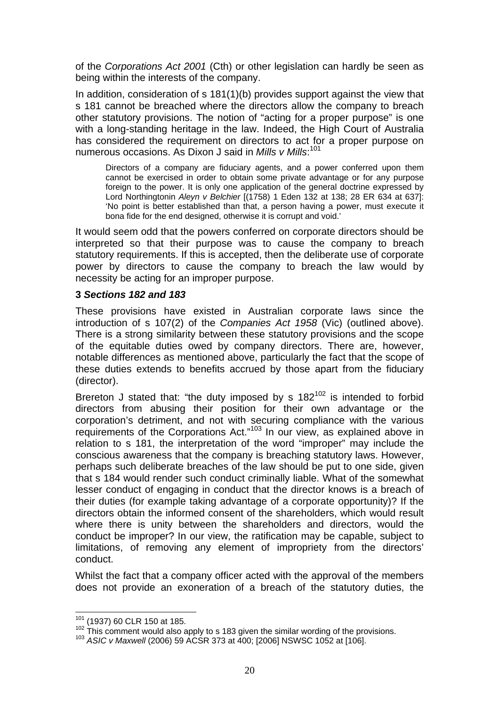of the *Corporations Act 2001* (Cth) or other legislation can hardly be seen as being within the interests of the company.

In addition, consideration of s 181(1)(b) provides support against the view that s 181 cannot be breached where the directors allow the company to breach other statutory provisions. The notion of "acting for a proper purpose" is one with a long-standing heritage in the law. Indeed, the High Court of Australia has considered the requirement on directors to act for a proper purpose on numerous occasions. As Dixon J said in *Mills v Mills*: 101

Directors of a company are fiduciary agents, and a power conferred upon them cannot be exercised in order to obtain some private advantage or for any purpose foreign to the power. It is only one application of the general doctrine expressed by Lord Northingtonin *Aleyn v Belchier* [(1758) 1 Eden 132 at 138; 28 ER 634 at 637]: 'No point is better established than that, a person having a power, must execute it bona fide for the end designed, otherwise it is corrupt and void.'

It would seem odd that the powers conferred on corporate directors should be interpreted so that their purpose was to cause the company to breach statutory requirements. If this is accepted, then the deliberate use of corporate power by directors to cause the company to breach the law would by necessity be acting for an improper purpose.

#### **3** *Sections 182 and 183*

These provisions have existed in Australian corporate laws since the introduction of s 107(2) of the *Companies Act 1958* (Vic) (outlined above). There is a strong similarity between these statutory provisions and the scope of the equitable duties owed by company directors. There are, however, notable differences as mentioned above, particularly the fact that the scope of these duties extends to benefits accrued by those apart from the fiduciary (director).

Brereton J stated that: "the duty imposed by s  $182^{102}$  is intended to forbid directors from abusing their position for their own advantage or the corporation's detriment, and not with securing compliance with the various requirements of the Corporations Act."103 In our view, as explained above in relation to s 181, the interpretation of the word "improper" may include the conscious awareness that the company is breaching statutory laws. However, perhaps such deliberate breaches of the law should be put to one side, given that s 184 would render such conduct criminally liable. What of the somewhat lesser conduct of engaging in conduct that the director knows is a breach of their duties (for example taking advantage of a corporate opportunity)? If the directors obtain the informed consent of the shareholders, which would result where there is unity between the shareholders and directors, would the conduct be improper? In our view, the ratification may be capable, subject to limitations, of removing any element of impropriety from the directors' conduct.

Whilst the fact that a company officer acted with the approval of the members does not provide an exoneration of a breach of the statutory duties, the

<sup>101 (1937) 60</sup> CLR 150 at 185.

<sup>102</sup> This comment would also apply to s 183 given the similar wording of the provisions.<br><sup>103</sup> ASIC v Maxwell (2006) 59 ACSR 373 at 400; [2006] NSWSC 1052 at [106].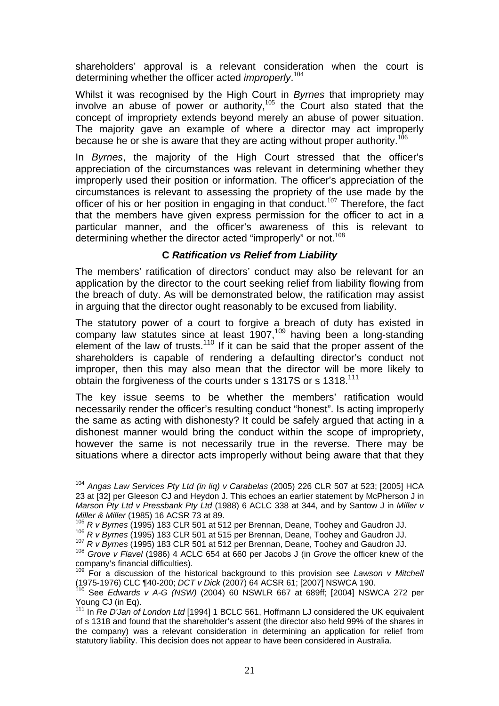shareholders' approval is a relevant consideration when the court is determining whether the officer acted *improperly*. 104

Whilst it was recognised by the High Court in *Byrnes* that impropriety may involve an abuse of power or authority, $105$  the Court also stated that the concept of impropriety extends beyond merely an abuse of power situation. The majority gave an example of where a director may act improperly because he or she is aware that they are acting without proper authority.<sup>106</sup>

In *Byrnes*, the majority of the High Court stressed that the officer's appreciation of the circumstances was relevant in determining whether they improperly used their position or information. The officer's appreciation of the circumstances is relevant to assessing the propriety of the use made by the officer of his or her position in engaging in that conduct.<sup>107</sup> Therefore, the fact that the members have given express permission for the officer to act in a particular manner, and the officer's awareness of this is relevant to determining whether the director acted "improperly" or not.<sup>108</sup>

#### **C** *Ratification vs Relief from Liability*

The members' ratification of directors' conduct may also be relevant for an application by the director to the court seeking relief from liability flowing from the breach of duty. As will be demonstrated below, the ratification may assist in arguing that the director ought reasonably to be excused from liability.

The statutory power of a court to forgive a breach of duty has existed in company law statutes since at least  $1907$ ,<sup>109</sup> having been a long-standing element of the law of trusts.<sup>110</sup> If it can be said that the proper assent of the shareholders is capable of rendering a defaulting director's conduct not improper, then this may also mean that the director will be more likely to obtain the forgiveness of the courts under s 1317S or s 1318.<sup>111</sup>

The key issue seems to be whether the members' ratification would necessarily render the officer's resulting conduct "honest". Is acting improperly the same as acting with dishonesty? It could be safely argued that acting in a dishonest manner would bring the conduct within the scope of impropriety, however the same is not necessarily true in the reverse. There may be situations where a director acts improperly without being aware that that they

 $\overline{a}$ <sup>104</sup> *Angas Law Services Pty Ltd (in liq) v Carabelas* (2005) 226 CLR 507 at 523; [2005] HCA 23 at [32] per Gleeson CJ and Heydon J. This echoes an earlier statement by McPherson J in *Marson Pty Ltd v Pressbank Pty Ltd* (1988) 6 ACLC 338 at 344, and by Santow J in *Miller v* 

*Miller & Miller* (1985) 16 ACSR 73 at 89.<br><sup>105</sup> R v Byrnes (1995) 183 CLR 501 at 512 per Brennan, Deane, Toohey and Gaudron JJ.<br><sup>106</sup> R v Byrnes (1995) 183 CLR 501 at 515 per Brennan, Deane, Toohey and Gaudron JJ.<br><sup>107</sup> company's financial difficulties).

<sup>109</sup> For a discussion of the historical background to this provision see *Lawson v Mitchell* (1975-1976) CLC ¶40-200; *DCT v Dick* (2007) 64 ACSR 61; [2007] NSWCA 190. 110 See *Edwards v A-G (NSW)* (2004) 60 NSWLR 667 at 689ff; [2004] NSWCA 272 per

Young CJ (in Eq).

<sup>111</sup> In *Re D'Jan of London Ltd* [1994] 1 BCLC 561, Hoffmann LJ considered the UK equivalent of s 1318 and found that the shareholder's assent (the director also held 99% of the shares in the company) was a relevant consideration in determining an application for relief from statutory liability. This decision does not appear to have been considered in Australia.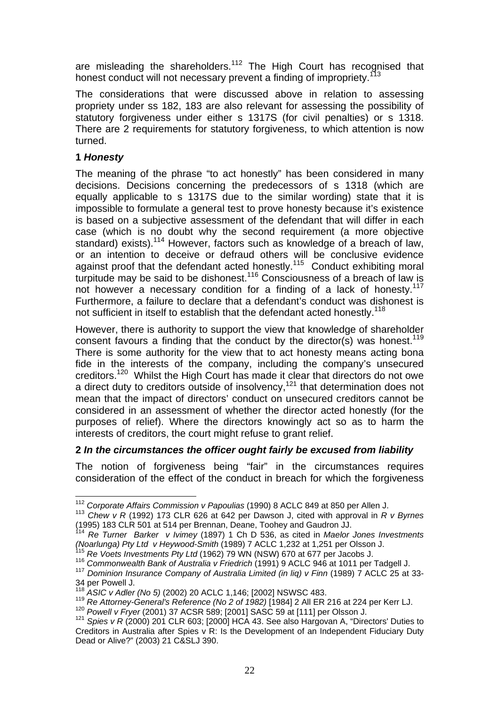are misleading the shareholders.<sup>112</sup> The High Court has recognised that honest conduct will not necessary prevent a finding of impropriety.<sup>113</sup>

The considerations that were discussed above in relation to assessing propriety under ss 182, 183 are also relevant for assessing the possibility of statutory forgiveness under either s 1317S (for civil penalties) or s 1318. There are 2 requirements for statutory forgiveness, to which attention is now turned.

# **1** *Honesty*

The meaning of the phrase "to act honestly" has been considered in many decisions. Decisions concerning the predecessors of s 1318 (which are equally applicable to s 1317S due to the similar wording) state that it is impossible to formulate a general test to prove honesty because it's existence is based on a subjective assessment of the defendant that will differ in each case (which is no doubt why the second requirement (a more objective standard) exists).<sup>114</sup> However, factors such as knowledge of a breach of law, or an intention to deceive or defraud others will be conclusive evidence against proof that the defendant acted honestly.<sup>115</sup> Conduct exhibiting moral turpitude may be said to be dishonest.116 Consciousness of a breach of law is not however a necessary condition for a finding of a lack of honesty.<sup>117</sup> Furthermore, a failure to declare that a defendant's conduct was dishonest is not sufficient in itself to establish that the defendant acted honestly.<sup>118</sup>

However, there is authority to support the view that knowledge of shareholder consent favours a finding that the conduct by the director(s) was honest.<sup>119</sup> There is some authority for the view that to act honesty means acting bona fide in the interests of the company, including the company's unsecured creditors.120 Whilst the High Court has made it clear that directors do not owe a direct duty to creditors outside of insolvency,  $121$  that determination does not mean that the impact of directors' conduct on unsecured creditors cannot be considered in an assessment of whether the director acted honestly (for the purposes of relief). Where the directors knowingly act so as to harm the interests of creditors, the court might refuse to grant relief.

#### **2** *In the circumstances the officer ought fairly be excused from liability*

The notion of forgiveness being "fair" in the circumstances requires consideration of the effect of the conduct in breach for which the forgiveness

<sup>112</sup> Corporate Affairs Commission v Papoulias (1990) 8 ACLC 849 at 850 per Allen J.

<sup>&</sup>lt;sup>113</sup> *Chew v R* (1992) 173 CLR 626 at 642 per Dawson J, cited with approval in *R v Byrnes* (1995) 183 CLR 501 at 514 per Brennan, Deane, Toohey and Gaudron JJ.

<sup>114</sup> *Re Turner Barker v Ivimey* (1897) 1 Ch D 536, as cited in *Maelor Jones Investments*  (Noarlunga) Pty Ltd v Heywood-Smith (1989) 7 ACLC 1,232 at 1,251 per Olsson J.<br><sup>115</sup> Re Voets Investments Pty Ltd (1962) 79 WN (NSW) 670 at 677 per Jacobs J.<br><sup>116</sup> Commonwealth Bank of Australia v Friedrich (1991) 9 ACLC 9

<sup>34</sup> per Powell J.<br><sup>118</sup> ASIC v Adler (No 5) (2002) 20 ACLC 1,146; [2002] NSWSC 483.

<sup>&</sup>lt;sup>119</sup> Re Attorney-General's Reference (No 2 of 1982) [1984] 2 All ER 216 at 224 per Kerr LJ.<br><sup>120</sup> Powell v Fryer (2001) 37 ACSR 589; [2001] SASC 59 at [111] per Olsson J.<br><sup>121</sup> Spies v R (2000) 201 CLR 603: [2000] HCA 43

Creditors in Australia after Spies v R: Is the Development of an Independent Fiduciary Duty Dead or Alive?" (2003) 21 C&SLJ 390.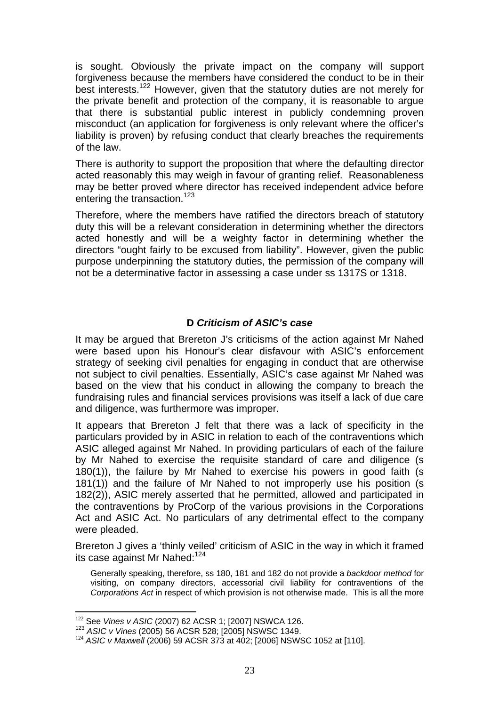is sought. Obviously the private impact on the company will support forgiveness because the members have considered the conduct to be in their best interests.<sup>122</sup> However, given that the statutory duties are not merely for the private benefit and protection of the company, it is reasonable to argue that there is substantial public interest in publicly condemning proven misconduct (an application for forgiveness is only relevant where the officer's liability is proven) by refusing conduct that clearly breaches the requirements of the law.

There is authority to support the proposition that where the defaulting director acted reasonably this may weigh in favour of granting relief. Reasonableness may be better proved where director has received independent advice before entering the transaction.<sup>123</sup>

Therefore, where the members have ratified the directors breach of statutory duty this will be a relevant consideration in determining whether the directors acted honestly and will be a weighty factor in determining whether the directors "ought fairly to be excused from liability". However, given the public purpose underpinning the statutory duties, the permission of the company will not be a determinative factor in assessing a case under ss 1317S or 1318.

# **D** *Criticism of ASIC's case*

It may be argued that Brereton J's criticisms of the action against Mr Nahed were based upon his Honour's clear disfavour with ASIC's enforcement strategy of seeking civil penalties for engaging in conduct that are otherwise not subject to civil penalties. Essentially, ASIC's case against Mr Nahed was based on the view that his conduct in allowing the company to breach the fundraising rules and financial services provisions was itself a lack of due care and diligence, was furthermore was improper.

It appears that Brereton J felt that there was a lack of specificity in the particulars provided by in ASIC in relation to each of the contraventions which ASIC alleged against Mr Nahed. In providing particulars of each of the failure by Mr Nahed to exercise the requisite standard of care and diligence (s 180(1)), the failure by Mr Nahed to exercise his powers in good faith (s 181(1)) and the failure of Mr Nahed to not improperly use his position (s 182(2)), ASIC merely asserted that he permitted, allowed and participated in the contraventions by ProCorp of the various provisions in the Corporations Act and ASIC Act. No particulars of any detrimental effect to the company were pleaded.

Brereton J gives a 'thinly veiled' criticism of ASIC in the way in which it framed its case against Mr Nahed:<sup>124</sup>

Generally speaking, therefore, ss 180, 181 and 182 do not provide a *backdoor method* for visiting, on company directors, accessorial civil liability for contraventions of the *Corporations Act* in respect of which provision is not otherwise made. This is all the more

<sup>&</sup>lt;sup>122</sup> See *Vines v ASIC* (2007) 62 ACSR 1; [2007] NSWCA 126.<br><sup>123</sup> *ASIC v Vines* (2005) 56 ACSR 528; [2005] NSWSC 1349.<br><sup>124</sup> *ASIC v Maxwell* (2006) 59 ACSR 373 at 402; [2006] NSWSC 1052 at [110].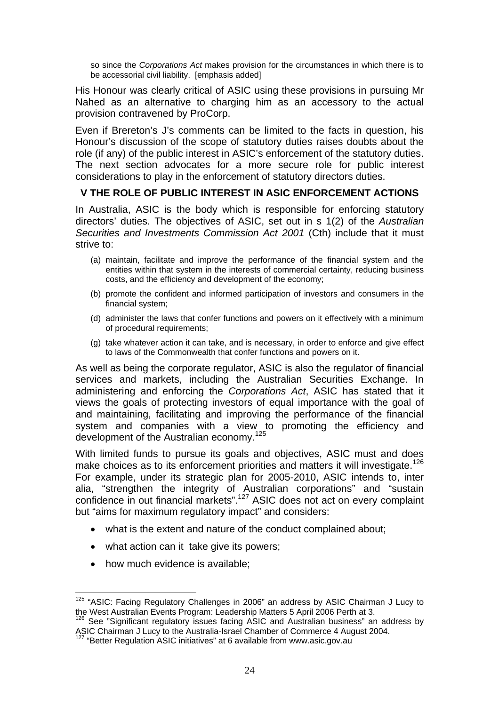so since the *Corporations Act* makes provision for the circumstances in which there is to be accessorial civil liability. [emphasis added]

His Honour was clearly critical of ASIC using these provisions in pursuing Mr Nahed as an alternative to charging him as an accessory to the actual provision contravened by ProCorp.

Even if Brereton's J's comments can be limited to the facts in question, his Honour's discussion of the scope of statutory duties raises doubts about the role (if any) of the public interest in ASIC's enforcement of the statutory duties. The next section advocates for a more secure role for public interest considerations to play in the enforcement of statutory directors duties.

# **V THE ROLE OF PUBLIC INTEREST IN ASIC ENFORCEMENT ACTIONS**

In Australia, ASIC is the body which is responsible for enforcing statutory directors' duties. The objectives of ASIC, set out in s 1(2) of the *Australian Securities and Investments Commission Act 2001* (Cth) include that it must strive to:

- (a) maintain, facilitate and improve the performance of the financial system and the entities within that system in the interests of commercial certainty, reducing business costs, and the efficiency and development of the economy;
- (b) promote the confident and informed participation of investors and consumers in the financial system;
- (d) administer the laws that confer functions and powers on it effectively with a minimum of procedural requirements;
- (g) take whatever action it can take, and is necessary, in order to enforce and give effect to laws of the Commonwealth that confer functions and powers on it.

As well as being the corporate regulator, ASIC is also the regulator of financial services and markets, including the Australian Securities Exchange. In administering and enforcing the *Corporations Act*, ASIC has stated that it views the goals of protecting investors of equal importance with the goal of and maintaining, facilitating and improving the performance of the financial system and companies with a view to promoting the efficiency and development of the Australian economy.<sup>125</sup>

With limited funds to pursue its goals and objectives, ASIC must and does make choices as to its enforcement priorities and matters it will investigate.<sup>126</sup> For example, under its strategic plan for 2005-2010, ASIC intends to, inter alia, "strengthen the integrity of Australian corporations" and "sustain confidence in out financial markets".127 ASIC does not act on every complaint but "aims for maximum regulatory impact" and considers:

- what is the extent and nature of the conduct complained about;
- what action can it take give its powers;
- how much evidence is available;

 $\overline{a}$  $125$  "ASIC: Facing Regulatory Challenges in 2006" an address by ASIC Chairman J Lucy to

the West Australian Events Program: Leadership Matters 5 April 2006 Perth at 3.<br><sup>126</sup> See "Significant regulatory issues facing ASIC and Australian business" an address by<br>ASIC Chairman J Lucy to the Australia-Israel Chamb

<sup>&</sup>lt;sup>127</sup> "Better Regulation ASIC initiatives" at 6 available from www.asic.gov.au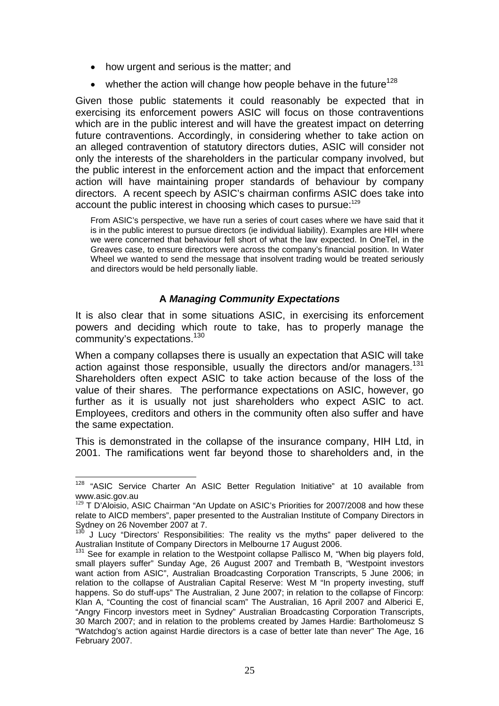- how urgent and serious is the matter; and
- whether the action will change how people behave in the future<sup>128</sup>

Given those public statements it could reasonably be expected that in exercising its enforcement powers ASIC will focus on those contraventions which are in the public interest and will have the greatest impact on deterring future contraventions. Accordingly, in considering whether to take action on an alleged contravention of statutory directors duties, ASIC will consider not only the interests of the shareholders in the particular company involved, but the public interest in the enforcement action and the impact that enforcement action will have maintaining proper standards of behaviour by company directors. A recent speech by ASIC's chairman confirms ASIC does take into account the public interest in choosing which cases to pursue:<sup>129</sup>

From ASIC's perspective, we have run a series of court cases where we have said that it is in the public interest to pursue directors (ie individual liability). Examples are HIH where we were concerned that behaviour fell short of what the law expected. In OneTel, in the Greaves case, to ensure directors were across the company's financial position. In Water Wheel we wanted to send the message that insolvent trading would be treated seriously and directors would be held personally liable.

# **A** *Managing Community Expectations*

It is also clear that in some situations ASIC, in exercising its enforcement powers and deciding which route to take, has to properly manage the community's expectations.130

When a company collapses there is usually an expectation that ASIC will take action against those responsible, usually the directors and/or managers.<sup>131</sup> Shareholders often expect ASIC to take action because of the loss of the value of their shares. The performance expectations on ASIC, however, go further as it is usually not just shareholders who expect ASIC to act. Employees, creditors and others in the community often also suffer and have the same expectation.

This is demonstrated in the collapse of the insurance company, HIH Ltd, in 2001. The ramifications went far beyond those to shareholders and, in the

 $\overline{a}$  $128$  "ASIC Service Charter An ASIC Better Regulation Initiative" at 10 available from www.asic.gov.au

<sup>&</sup>lt;sup>129</sup> T D'Aloisio, ASIC Chairman "An Update on ASIC's Priorities for 2007/2008 and how these relate to AICD members", paper presented to the Australian Institute of Company Directors in  $Sydney$  on 26 November 2007 at 7.

<sup>130</sup> J Lucy "Directors' Responsibilities: The reality vs the myths" paper delivered to the Australian Institute of Company Directors in Melbourne 17 August 2006.<br><sup>131</sup> See for example in relation to the Westpoint collapse Pallisco M, "When big players fold,

small players suffer" Sunday Age, 26 August 2007 and Trembath B, "Westpoint investors want action from ASIC", Australian Broadcasting Corporation Transcripts, 5 June 2006; in relation to the collapse of Australian Capital Reserve: West M "In property investing, stuff happens. So do stuff-ups" The Australian, 2 June 2007; in relation to the collapse of Fincorp: Klan A, "Counting the cost of financial scam" The Australian, 16 April 2007 and Alberici E, "Angry Fincorp investors meet in Sydney" Australian Broadcasting Corporation Transcripts, 30 March 2007; and in relation to the problems created by James Hardie: Bartholomeusz S "Watchdog's action against Hardie directors is a case of better late than never" The Age, 16 February 2007.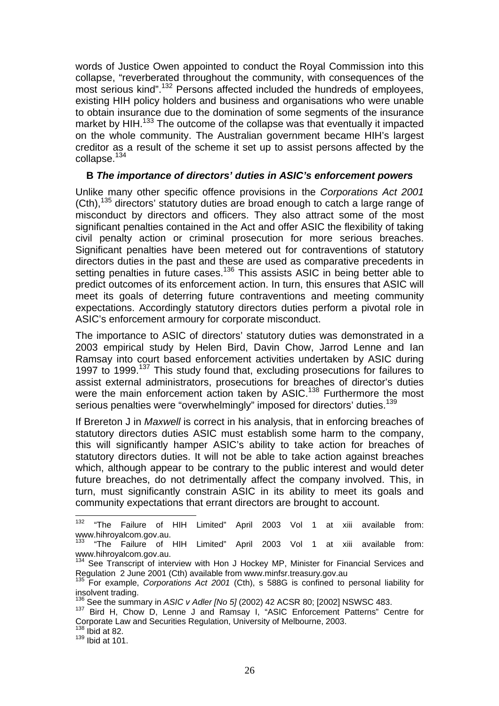words of Justice Owen appointed to conduct the Royal Commission into this collapse, "reverberated throughout the community, with consequences of the most serious kind".<sup>132</sup> Persons affected included the hundreds of employees, existing HIH policy holders and business and organisations who were unable to obtain insurance due to the domination of some segments of the insurance market by HIH.<sup>133</sup> The outcome of the collapse was that eventually it impacted on the whole community. The Australian government became HIH's largest creditor as a result of the scheme it set up to assist persons affected by the collapse.<sup>134</sup>

### **B** *The importance of directors' duties in ASIC's enforcement powers*

Unlike many other specific offence provisions in the *Corporations Act 2001*   $(Ch)$ ,<sup>135</sup> directors' statutory duties are broad enough to catch a large range of misconduct by directors and officers. They also attract some of the most significant penalties contained in the Act and offer ASIC the flexibility of taking civil penalty action or criminal prosecution for more serious breaches. Significant penalties have been metered out for contraventions of statutory directors duties in the past and these are used as comparative precedents in setting penalties in future cases.<sup>136</sup> This assists ASIC in being better able to predict outcomes of its enforcement action. In turn, this ensures that ASIC will meet its goals of deterring future contraventions and meeting community expectations. Accordingly statutory directors duties perform a pivotal role in ASIC's enforcement armoury for corporate misconduct.

The importance to ASIC of directors' statutory duties was demonstrated in a 2003 empirical study by Helen Bird, Davin Chow, Jarrod Lenne and Ian Ramsay into court based enforcement activities undertaken by ASIC during 1997 to 1999.<sup>137</sup> This study found that, excluding prosecutions for failures to assist external administrators, prosecutions for breaches of director's duties were the main enforcement action taken by ASIC.<sup>138</sup> Furthermore the most serious penalties were "overwhelmingly" imposed for directors' duties.<sup>139</sup>

If Brereton J in *Maxwell* is correct in his analysis, that in enforcing breaches of statutory directors duties ASIC must establish some harm to the company, this will significantly hamper ASIC's ability to take action for breaches of statutory directors duties. It will not be able to take action against breaches which, although appear to be contrary to the public interest and would deter future breaches, do not detrimentally affect the company involved. This, in turn, must significantly constrain ASIC in its ability to meet its goals and community expectations that errant directors are brought to account.

<sup>&</sup>lt;sup>132</sup> "The Failure of HIH Limited" April 2003 Vol 1 at xiii available from: www.hihroyalcom.gov.au.

<sup>133 &</sup>quot;The Failure of HIH Limited" April 2003 Vol 1 at xiii available from: www.hihroyalcom.gov.au.

 $134$  See Transcript of interview with Hon J Hockey MP, Minister for Financial Services and Regulation 2 June 2001 (Cth) available from www.minfsr.treasury.gov.au

<sup>&</sup>lt;sup>135</sup> For example, *Corporations Act 2001* (Cth), s 588G is confined to personal liability for insolvent trading.<br><sup>136</sup> See the summary in *ASIC v Adler INo 51* (2002) 42 ACSR 80: [2002] NSWSC 483.

<sup>&</sup>lt;sup>137</sup> Bird H. Chow D. Lenne J and Ramsay I, "ASIC Enforcement Patterns" Centre for Corporate Law and Securities Regulation, University of Melbourne, 2003. 138 Ibid at 82.

 $139$  Ibid at 101.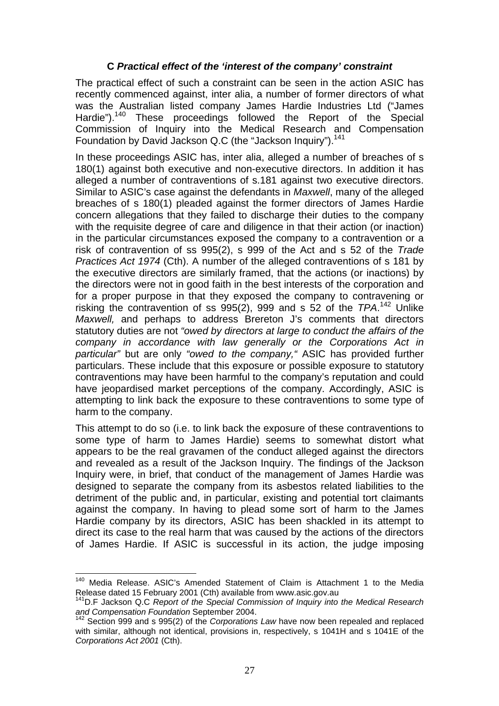# **C** *Practical effect of the 'interest of the company' constraint*

The practical effect of such a constraint can be seen in the action ASIC has recently commenced against, inter alia, a number of former directors of what was the Australian listed company James Hardie Industries Ltd ("James Hardie").<sup>140</sup> These proceedings followed the Report of the Special Commission of Inquiry into the Medical Research and Compensation Foundation by David Jackson Q.C (the "Jackson Inquiry").<sup>141</sup>

In these proceedings ASIC has, inter alia, alleged a number of breaches of s 180(1) against both executive and non-executive directors. In addition it has alleged a number of contraventions of s.181 against two executive directors. Similar to ASIC's case against the defendants in *Maxwell*, many of the alleged breaches of s 180(1) pleaded against the former directors of James Hardie concern allegations that they failed to discharge their duties to the company with the requisite degree of care and diligence in that their action (or inaction) in the particular circumstances exposed the company to a contravention or a risk of contravention of ss 995(2), s 999 of the Act and s 52 of the *Trade Practices Act 1974* (Cth). A number of the alleged contraventions of s 181 by the executive directors are similarly framed, that the actions (or inactions) by the directors were not in good faith in the best interests of the corporation and for a proper purpose in that they exposed the company to contravening or risking the contravention of ss 995(2), 999 and s 52 of the *TPA*. 142 Unlike *Maxwell,* and perhaps to address Brereton J's comments that directors statutory duties are not *"owed by directors at large to conduct the affairs of the company in accordance with law generally or the Corporations Act in particular"* but are only *"owed to the company,"* ASIC has provided further particulars. These include that this exposure or possible exposure to statutory contraventions may have been harmful to the company's reputation and could have jeopardised market perceptions of the company. Accordingly, ASIC is attempting to link back the exposure to these contraventions to some type of harm to the company.

This attempt to do so (i.e. to link back the exposure of these contraventions to some type of harm to James Hardie) seems to somewhat distort what appears to be the real gravamen of the conduct alleged against the directors and revealed as a result of the Jackson Inquiry. The findings of the Jackson Inquiry were, in brief, that conduct of the management of James Hardie was designed to separate the company from its asbestos related liabilities to the detriment of the public and, in particular, existing and potential tort claimants against the company. In having to plead some sort of harm to the James Hardie company by its directors, ASIC has been shackled in its attempt to direct its case to the real harm that was caused by the actions of the directors of James Hardie. If ASIC is successful in its action, the judge imposing

<sup>&</sup>lt;sup>140</sup> Media Release. ASIC's Amended Statement of Claim is Attachment 1 to the Media Release dated 15 February 2001 (Cth) available from www.asic.gov.au<br><sup>141</sup>D.F Jackson Q.C *Report of the Special Commission of Inquiry into the Medical Research* 

and Compensation Foundation September 2004.<br><sup>142</sup> Section 999 and s 995(2) of the *Corporations Law* have now been repealed and replaced

with similar, although not identical, provisions in, respectively, s 1041H and s 1041E of the *Corporations Act 2001* (Cth).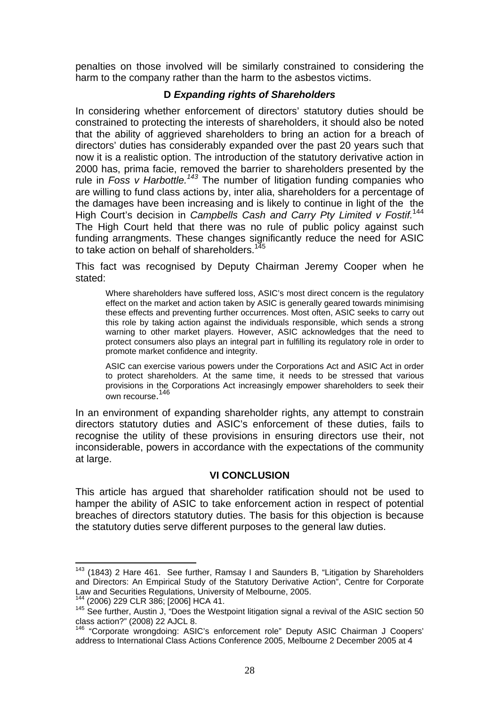penalties on those involved will be similarly constrained to considering the harm to the company rather than the harm to the asbestos victims.

# **D** *Expanding rights of Shareholders*

In considering whether enforcement of directors' statutory duties should be constrained to protecting the interests of shareholders, it should also be noted that the ability of aggrieved shareholders to bring an action for a breach of directors' duties has considerably expanded over the past 20 years such that now it is a realistic option. The introduction of the statutory derivative action in 2000 has, prima facie, removed the barrier to shareholders presented by the rule in *Foss v Harbottle.<sup>143</sup>* The number of litigation funding companies who are willing to fund class actions by, inter alia, shareholders for a percentage of the damages have been increasing and is likely to continue in light of the the High Court's decision in *Campbells Cash and Carry Pty Limited v Fostif.*<sup>144</sup> The High Court held that there was no rule of public policy against such funding arrangments. These changes significantly reduce the need for ASIC to take action on behalf of shareholders.<sup>145</sup>

This fact was recognised by Deputy Chairman Jeremy Cooper when he stated:

Where shareholders have suffered loss, ASIC's most direct concern is the regulatory effect on the market and action taken by ASIC is generally geared towards minimising these effects and preventing further occurrences. Most often, ASIC seeks to carry out this role by taking action against the individuals responsible, which sends a strong warning to other market players. However, ASIC acknowledges that the need to protect consumers also plays an integral part in fulfilling its regulatory role in order to promote market confidence and integrity.

ASIC can exercise various powers under the Corporations Act and ASIC Act in order to protect shareholders. At the same time, it needs to be stressed that various provisions in the Corporations Act increasingly empower shareholders to seek their .<br>own recourse.<sup>146</sup>

In an environment of expanding shareholder rights, any attempt to constrain directors statutory duties and ASIC's enforcement of these duties, fails to recognise the utility of these provisions in ensuring directors use their, not inconsiderable, powers in accordance with the expectations of the community at large.

#### **VI CONCLUSION**

This article has argued that shareholder ratification should not be used to hamper the ability of ASIC to take enforcement action in respect of potential breaches of directors statutory duties. The basis for this objection is because the statutory duties serve different purposes to the general law duties.

<sup>&</sup>lt;sup>143</sup> (1843) 2 Hare 461. See further, Ramsay I and Saunders B, "Litigation by Shareholders and Directors: An Empirical Study of the Statutory Derivative Action", Centre for Corporate Law and Securities Regulations, University of Melbourne, 2005.

<sup>144 (2006) 229</sup> CLR 386; [2006] HCA 41.

<sup>&</sup>lt;sup>145</sup> See further, Austin J, "Does the Westpoint litigation signal a revival of the ASIC section 50 class action?" (2008) 22 AJCL 8.

<sup>146 &</sup>quot;Corporate wrongdoing: ASIC's enforcement role" Deputy ASIC Chairman J Coopers' address to International Class Actions Conference 2005, Melbourne 2 December 2005 at 4